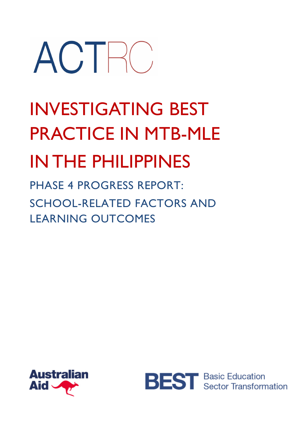# ACTRO

# INVESTIGATING BEST PRACTICE IN MTB-MLE IN THE PHILIPPINES

PHASE 4 PROGRESS REPORT: SCHOOL-RELATED FACTORS AND LEARNING OUTCOMES



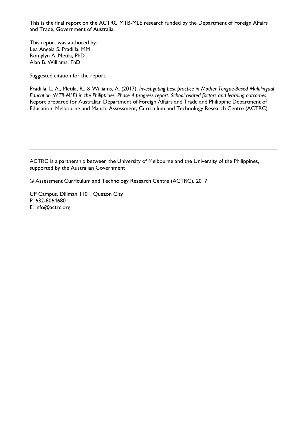This is the final report on the ACTRC MTB-MLE research funded by the Department of Foreign Affairs and Trade, Government of Australia.

This report was authored by: Lea Angela S. Pradilla, MM Romylyn A. Metila, PhD Alan B. Williams, PhD

Suggested citation for the report:

Pradilla, L. A., Metila, R., & Williams, A. (2017). *Investigating best practice in Mother Tongue-Based Multilingual Education (MTB-MLE) in the Philippines, Phase 4 progress report: School-related factors and learning outcomes.* Report prepared for Australian Department of Foreign Affairs and Trade and Philippine Department of Education. Melbourne and Manila: Assessment, Curriculum and Technology Research Centre (ACTRC).

ACTRC is a partnership between the University of Melbourne and the University of the Philippines, supported by the Australian Government

© Assessment Curriculum and Technology Research Centre (ACTRC), 2017

UP Campus, Diliman 1101, Quezon City P: 632-8064680 E: info@actrc.org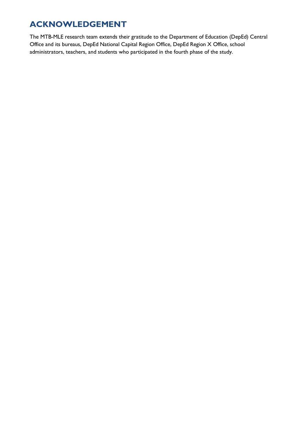# **ACKNOWLEDGEMENT**

The MTB-MLE research team extends their gratitude to the Department of Education (DepEd) Central Office and its bureaus, DepEd National Capital Region Office, DepEd Region X Office, school administrators, teachers, and students who participated in the fourth phase of the study.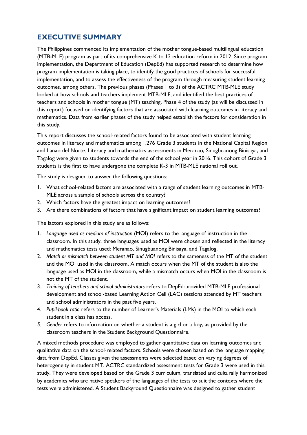# **EXECUTIVE SUMMARY**

The Philippines commenced its implementation of the mother tongue-based multilingual education (MTB-MLE) program as part of its comprehensive K to 12 education reform in 2012. Since program implementation, the Department of Education (DepEd) has supported research to determine how program implementation is taking place, to identify the good practices of schools for successful implementation, and to assess the effectiveness of the program through measuring student learning outcomes, among others. The previous phases (Phases 1 to 3) of the ACTRC MTB-MLE study looked at how schools and teachers implement MTB-MLE, and identified the best practices of teachers and schools in mother tongue (MT) teaching. Phase 4 of the study (as will be discussed in this report) focused on identifying factors that are associated with learning outcomes in literacy and mathematics. Data from earlier phases of the study helped establish the factors for consideration in this study.

This report discusses the school-related factors found to be associated with student learning outcomes in literacy and mathematics among 1,276 Grade 3 students in the National Capital Region and Lanao del Norte. Literacy and mathematics assessments in Meranao, Sinugbuanong Binisaya, and Tagalog were given to students towards the end of the school year in 2016. This cohort of Grade 3 students is the first to have undergone the complete K-3 in MTB-MLE national roll out.

The study is designed to answer the following questions:

- 1. What school-related factors are associated with a range of student learning outcomes in MTB-MLE across a sample of schools across the country?
- 2. Which factors have the greatest impact on learning outcomes?
- 3. Are there combinations of factors that have significant impact on student learning outcomes?

The factors explored in this study are as follows:

- 1. *Language used as medium of instruction* (MOI) refers to the language of instruction in the classroom. In this study, three languages used as MOI were chosen and reflected in the literacy and mathematics tests used: Meranao, Sinugbuanong Binisaya, and Tagalog.
- 2. *Match or mismatch between student MT and MOI* refers to the sameness of the MT of the student and the MOI used in the classroom. A match occurs when the MT of the student is also the language used as MOI in the classroom, while a mismatch occurs when MOI in the classroom is not the MT of the student.
- 3. *Training of teachers and school administrators* refers to DepEd-provided MTB-MLE professional development and school-based Learning Action Cell (LAC) sessions attended by MT teachers and school administrators in the past five years.
- 4. *Pupil-book ratio* refers to the number of Learner's Materials (LMs) in the MOI to which each student in a class has access.
- *5. Gender* refers to information on whether a student is a girl or a boy, as provided by the classroom teachers in the Student Background Questionnaire.

A mixed methods procedure was employed to gather quantitative data on learning outcomes and qualitative data on the school-related factors. Schools were chosen based on the language mapping data from DepEd. Classes given the assessments were selected based on varying degrees of heterogeneity in student MT. ACTRC standardized assessment tests for Grade 3 were used in this study. They were developed based on the Grade 3 curriculum, translated and culturally harmonized by academics who are native speakers of the languages of the tests to suit the contexts where the tests were administered. A Student Background Questionnaire was designed to gather student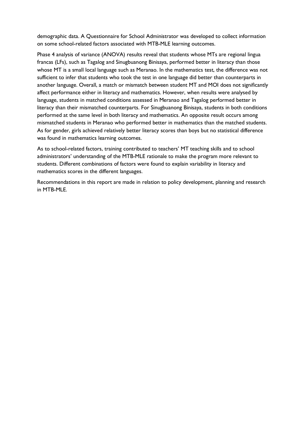demographic data. A Questionnaire for School Administrator was developed to collect information on some school-related factors associated with MTB-MLE learning outcomes.

Phase 4 analysis of variance (ANOVA) results reveal that students whose MTs are regional lingua francas (LFs), such as Tagalog and Sinugbuanong Binisaya, performed better in literacy than those whose MT is a small local language such as Meranao. In the mathematics test, the difference was not sufficient to infer that students who took the test in one language did better than counterparts in another language. Overall, a match or mismatch between student MT and MOI does not significantly affect performance either in literacy and mathematics. However, when results were analysed by language, students in matched conditions assessed in Meranao and Tagalog performed better in literacy than their mismatched counterparts. For Sinugbuanong Binisaya, students in both conditions performed at the same level in both literacy and mathematics. An opposite result occurs among mismatched students in Meranao who performed better in mathematics than the matched students. As for gender, girls achieved relatively better literacy scores than boys but no statistical difference was found in mathematics learning outcomes.

As to school-related factors, training contributed to teachers' MT teaching skills and to school administrators' understanding of the MTB-MLE rationale to make the program more relevant to students. Different combinations of factors were found to explain variability in literacy and mathematics scores in the different languages.

Recommendations in this report are made in relation to policy development, planning and research in MTB-MLE.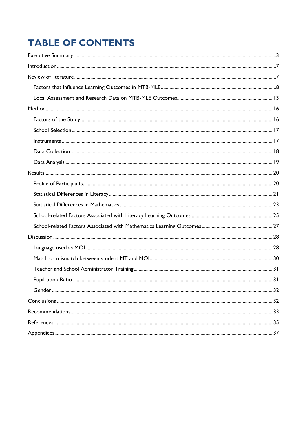# **TABLE OF CONTENTS**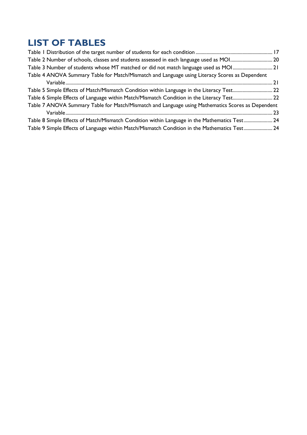# **LIST OF TABLES**

| Table 3 Number of students whose MT matched or did not match language used as MOI21               |  |
|---------------------------------------------------------------------------------------------------|--|
| Table 4 ANOVA Summary Table for Match/Mismatch and Language using Literacy Scores as Dependent    |  |
|                                                                                                   |  |
| Table 5 Simple Effects of Match/Mismatch Condition within Language in the Literacy Test 22        |  |
| Table 6 Simple Effects of Language within Match/Mismatch Condition in the Literacy Test 22        |  |
| Table 7 ANOVA Summary Table for Match/Mismatch and Language using Mathematics Scores as Dependent |  |
|                                                                                                   |  |
| Table 8 Simple Effects of Match/Mismatch Condition within Language in the Mathematics Test 24     |  |
| Table 9 Simple Effects of Language within Match/Mismatch Condition in the Mathematics Test 24     |  |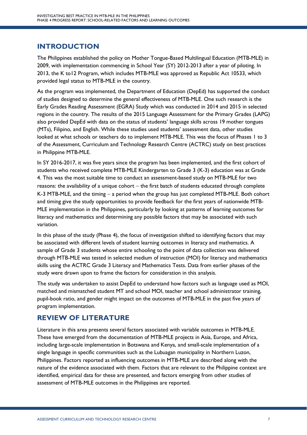# **INTRODUCTION**

The Philippines established the policy on Mother Tongue-Based Multilingual Education (MTB-MLE) in 2009, with implementation commencing in School Year (SY) 2012-2013 after a year of piloting. In 2013, the K to12 Program, which includes MTB-MLE was approved as Republic Act 10533, which provided legal status to MTB-MLE in the country.

As the program was implemented, the Department of Education (DepEd) has supported the conduct of studies designed to determine the general effectiveness of MTB-MLE. One such research is the Early Grades Reading Assessment (EGRA) Study which was conducted in 2014 and 2015 in selected regions in the country. The results of the 2015 Language Assessment for the Primary Grades (LAPG) also provided DepEd with data on the status of students' language skills across 19 mother tongues (MTs), Filipino, and English. While these studies used students' assessment data, other studies looked at what schools or teachers do to implement MTB-MLE. This was the focus of Phases 1 to 3 of the Assessment, Curriculum and Technology Research Centre (ACTRC) study on best practices in Philippine MTB-MLE.

In SY 2016-2017, it was five years since the program has been implemented, and the first cohort of students who received complete MTB-MLE Kindergarten to Grade 3 (K-3) education was at Grade 4. This was the most suitable time to conduct an assessment-based study on MTB-MLE for two reasons: the availability of a unique cohort  $-$  the first batch of students educated through complete K-3 MTB-MLE, and the timing  $-$  a period when the group has just completed MTB-MLE. Both cohort and timing give the study opportunities to provide feedback for the first years of nationwide MTB-MLE implementation in the Philippines, particularly by looking at patterns of learning outcomes for literacy and mathematics and determining any possible factors that may be associated with such variation.

In this phase of the study (Phase 4), the focus of investigation shifted to identifying factors that may be associated with different levels of student learning outcomes in literacy and mathematics. A sample of Grade 3 students whose entire schooling to the point of data collection was delivered through MTB-MLE was tested in selected medium of instruction (MOI) for literacy and mathematics skills using the ACTRC Grade 3 Literacy and Mathematics Tests. Data from earlier phases of the study were drawn upon to frame the factors for consideration in this analysis.

The study was undertaken to assist DepEd to understand how factors such as language used as MOI, matched and mismatched student MT and school MOI, teacher and school administrator training, pupil-book ratio, and gender might impact on the outcomes of MTB-MLE in the past five years of program implementation.

# **REVIEW OF LITERATURE**

Literature in this area presents several factors associated with variable outcomes in MTB-MLE. These have emerged from the documentation of MTB-MLE projects in Asia, Europe, and Africa, including large-scale implementation in Botswana and Kenya, and small-scale implementation of a single language in specific communities such as the Lubuagan municipality in Northern Luzon, Philippines. Factors reported as influencing outcomes in MTB-MLE are described along with the nature of the evidence associated with them. Factors that are relevant to the Philippine context are identified, empirical data for these are presented, and factors emerging from other studies of assessment of MTB-MLE outcomes in the Philippines are reported.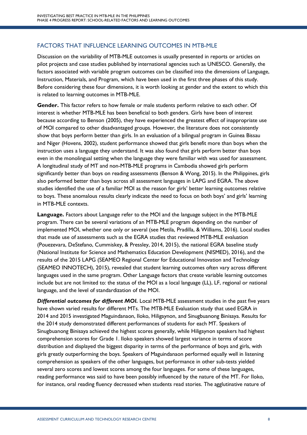# FACTORS THAT INFLUENCE LEARNING OUTCOMES IN MTB-MLE

Discussion on the variability of MTB-MLE outcomes is usually presented in reports or articles on pilot projects and case studies published by international agencies such as UNESCO. Generally, the factors associated with variable program outcomes can be classified into the dimensions of Language, Instruction, Materials, and Program, which have been used in the first three phases of this study. Before considering these four dimensions, it is worth looking at gender and the extent to which this is related to learning outcomes in MTB-MLE.

**Gender.** This factor refers to how female or male students perform relative to each other. Of interest is whether MTB-MLE has been beneficial to both genders. Girls have been of interest because according to Benson (2005), they have experienced the greatest effect of inappropriate use of MOI compared to other disadvantaged groups. However, the literature does not consistently show that boys perform better than girls. In an evaluation of a bilingual program in Guinea Bissau and Niger (Hovens, 2002), student performance showed that girls benefit more than boys when the instruction uses a language they understand. It was also found that girls perform better than boys even in the monolingual setting when the language they were familiar with was used for assessment. A longitudinal study of MT and non-MTB-MLE programs in Cambodia showed girls perform significantly better than boys on reading assessments (Benson & Wong, 2015). In the Philippines, girls also performed better than boys across all assessment languages in LAPG and EGRA. The above studies identified the use of a familiar MOI as the reason for girls' better learning outcomes relative to boys. These anomalous results clearly indicate the need to focus on both boys' and girls' learning in MTB-MLE contexts.

**Language.** Factors about Language refer to the MOI and the language subject in the MTB-MLE program. There can be several variations of an MTB-MLE program depending on the number of implemented MOI, whether one only or several (see Metila, Pradilla, & Williams, 2016). Local studies that made use of assessments such as the EGRA studies that reviewed MTB-MLE evaluation (Pouezevara, DeStefano, Cummiskey, & Pressley, 2014, 2015), the national EGRA baseline study (National Institute for Science and Mathematics Education Development (NISMED), 2016), and the results of the 2015 LAPG (SEAMEO Regional Center for Educational Innovation and Technology (SEAMEO INNOTECH), 2015), revealed that student learning outcomes often vary across different languages used in the same program. Other Language factors that create variable learning outcomes include but are not limited to: the status of the MOI as a local language (LL), LF, regional or national language, and the level of standardization of the MOI.

*Differential outcomes for different MOI.* Local MTB-MLE assessment studies in the past five years have shown varied results for different MTs. The MTB-MLE Evaluation study that used EGRA in 2014 and 2015 investigated Maguindanaon, Iloko, Hiligaynon, and Sinugbuanong Binisaya. Results for the 2014 study demonstrated different performances of students for each MT. Speakers of Sinugbuanong Binisaya achieved the highest scores generally, while Hiligaynon speakers had highest comprehension scores for Grade 1. Iloko speakers showed largest variance in terms of score distribution and displayed the biggest disparity in terms of the performance of boys and girls, with girls greatly outperforming the boys. Speakers of Maguindanaon performed equally well in listening comprehension as speakers of the other languages, but performance in other sub-tests yielded several zero scores and lowest scores among the four languages. For some of these languages, reading performance was said to have been possibly influenced by the nature of the MT. For Iloko, for instance, oral reading fluency decreased when students read stories. The agglutinative nature of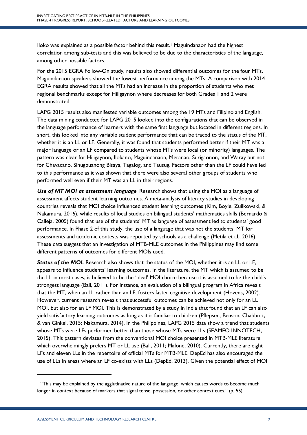Iloko was explained as a possible factor behind this result.1 Maguindanaon had the highest correlation among sub-tests and this was believed to be due to the characteristics of the language, among other possible factors.

For the 2015 EGRA Follow-On study, results also showed differential outcomes for the four MTs. Maguindanaon speakers showed the lowest performance among the MTs. A comparison with 2014 EGRA results showed that all the MTs had an increase in the proportion of students who met regional benchmarks except for Hiligaynon where decreases for both Grades 1 and 2 were demonstrated.

LAPG 2015 results also manifested variable outcomes among the 19 MTs and Filipino and English. The data mining conducted for LAPG 2015 looked into the configurations that can be observed in the language performance of learners with the same first language but located in different regions. In short, this looked into any variable student performance that can be traced to the status of the MT, whether it is an LL or LF. Generally, it was found that students performed better if their MT was a major language or an LF compared to students whose MTs were local (or minority) languages. The pattern was clear for Hiligaynon, Ilokano, Maguindanaon, Meranao, Surigaonon, and Waray but not for Chavacano, Sinugbuanong Bisaya, Tagalog, and Tausug. Factors other than the LF could have led to this performance as it was shown that there were also several other groups of students who performed well even if their MT was an LL in their regions.

*Use of MT MOI as assessment language.* Research shows that using the MOI as a language of assessment affects student learning outcomes. A meta-analysis of literacy studies in developing countries reveals that MOI choice influenced student learning outcomes (Kim, Boyle, Zuilkowski, & Nakamura, 2016), while results of local studies on bilingual students' mathematics skills (Bernardo & Calleja, 2005) found that use of the students' MT as language of assessment led to students' good performance. In Phase 2 of this study, the use of a language that was not the students' MT for assessments and academic contests was reported by schools as a challenge (Metila et al., 2016). These data suggest that an investigation of MTB-MLE outcomes in the Philippines may find some different patterns of outcomes for different MOIs used.

*Status of the MOI.* Research also shows that the status of the MOI, whether it is an LL or LF, appears to influence students' learning outcomes. In the literature, the MT which is assumed to be the LL in most cases, is believed to be the 'ideal' MOI choice because it is assumed to be the child's strongest language (Ball, 2011). For instance, an evaluation of a bilingual program in Africa reveals that the MT, when an LL rather than an LF, fosters faster cognitive development (Hovens, 2002). However, current research reveals that successful outcomes can be achieved not only for an LL MOI, but also for an LF MOI. This is demonstrated by a study in India that found that an LF can also yield satisfactory learning outcomes as long as it is familiar to children (Pflepsen, Benson, Chabbott, & van Ginkel, 2015; Nakamura, 2014). In the Philippines, LAPG 2015 data show a trend that students whose MTs were LFs performed better than those whose MTs were LLs (SEAMEO INNOTECH, 2015). This pattern deviates from the conventional MOI choice presented in MTB-MLE literature which overwhelmingly prefers MT or LL use (Ball, 2011; Malone, 2010). Currently, there are eight LFs and eleven LLs in the repertoire of official MTs for MTB-MLE. DepEd has also encouraged the use of LLs in areas where an LF co-exists with LLs (DepEd, 2013). Given the potential effect of MOI

 $\overline{a}$ 

<sup>1</sup> "This may be explained by the agglutinative nature of the language, which causes words to become much longer in context because of markers that signal tense, possession, or other context cues." (p. 55)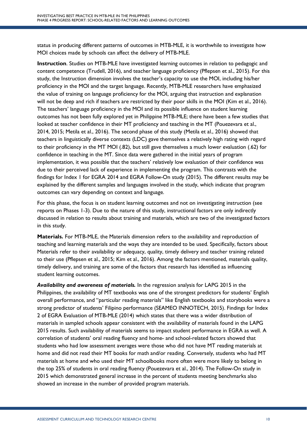status in producing different patterns of outcomes in MTB-MLE, it is worthwhile to investigate how MOI choices made by schools can affect the delivery of MTB-MLE.

**Instruction**. Studies on MTB-MLE have investigated learning outcomes in relation to pedagogic and content competence (Trudell, 2016), and teacher language proficiency (Pflepsen et al., 2015). For this study, the Instruction dimension involves the teacher's capacity to use the MOI, including his/her proficiency in the MOI and the target language. Recently, MTB-MLE researchers have emphasized the value of training on language proficiency for the MOI, arguing that instruction and explanation will not be deep and rich if teachers are restricted by their poor skills in the MOI (Kim et al., 2016). The teachers' language proficiency in the MOI and its possible influence on student learning outcomes has not been fully explored yet in Philippine MTB-MLE; there have been a few studies that looked at teacher confidence in their MT proficiency and teaching in the MT (Pouezevara et al., 2014, 2015; Metila et al., 2016). The second phase of this study (Metila et al., 2016) showed that teachers in linguistically diverse contexts (LDC) gave themselves a relatively high rating with regard to their proficiency in the MT MOI (.82), but still gave themselves a much lower evaluation (.62) for confidence in teaching in the MT. Since data were gathered in the initial years of program implementation, it was possible that the teachers' relatively low evaluation of their confidence was due to their perceived lack of experience in implementing the program. This contrasts with the findings for Index 1 for EGRA 2014 and EGRA Follow-On study (2015). The different results may be explained by the different samples and languages involved in the study, which indicate that program outcomes can vary depending on context and language.

For this phase, the focus is on student learning outcomes and not on investigating instruction (see reports on Phases 1-3). Due to the nature of this study, instructional factors are only indirectly discussed in relation to results about training and materials, which are two of the investigated factors in this study.

**Materials.** For MTB-MLE, the Materials dimension refers to the availability and reproduction of teaching and learning materials and the ways they are intended to be used. Specifically, factors about Materials refer to their availability or adequacy, quality, timely delivery and teacher training related to their use (Pflepsen et al., 2015; Kim et al., 2016). Among the factors mentioned, materials quality, timely delivery, and training are some of the factors that research has identified as influencing student learning outcomes.

*Availability and awareness of materials.* In the regression analysis for LAPG 2015 in the Philippines, the availability of MT textbooks was one of the strongest predictors for students' English overall performance, and "particular reading materials" like English textbooks and storybooks were a strong predictor of students' Filipino performance (SEAMEO INNOTECH, 2015). Findings for Index 2 of EGRA Evaluation of MTB-MLE (2014) which states that there was a wider distribution of materials in sampled schools appear consistent with the availability of materials found in the LAPG 2015 results. Such availability of materials seems to impact student performance in EGRA as well. A correlation of students' oral reading fluency and home- and school-related factors showed that students who had low assessment averages were those who did not have MT reading materials at home and did not read their MT books for math and/or reading. Conversely, students who had MT materials at home and who used their MT schoolbooks more often were more likely to belong in the top 25% of students in oral reading fluency (Pouezevara et al., 2014). The Follow-On study in 2015 which demonstrated general increase in the percent of students meeting benchmarks also showed an increase in the number of provided program materials.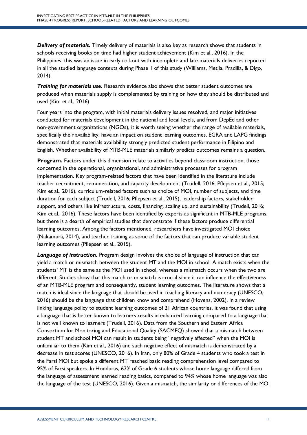*Delivery of materials.* Timely delivery of materials is also key as research shows that students in schools receiving books on time had higher student achievement (Kim et al., 2016). In the Philippines, this was an issue in early roll-out with incomplete and late materials deliveries reported in all the studied language contexts during Phase 1 of this study (Williams, Metila, Pradilla, & Digo, 2014).

*Training for materials use.* Research evidence also shows that better student outcomes are produced when materials supply is complemented by training on how they should be distributed and used (Kim et al., 2016).

Four years into the program, with initial materials delivery issues resolved, and major initiatives conducted for materials development in the national and local levels, and from DepEd and other non-government organizations (NGOs), it is worth seeing whether the range of available materials, specifically their availability, have an impact on student learning outcomes. EGRA and LAPG findings demonstrated that materials availability strongly predicted student performance in Filipino and English. Whether availability of MTB-MLE materials similarly predicts outcomes remains a question.

**Program.** Factors under this dimension relate to activities beyond classroom instruction, those concerned in the operational, organizational, and administrative processes for program implementation. Key program-related factors that have been identified in the literature include teacher recruitment, remuneration, and capacity development (Trudell, 2016; Pflepsen et al., 2015; Kim et al., 2016), curriculum-related factors such as choice of MOI, number of subjects, and time duration for each subject (Trudell, 2016; Pflepsen et al., 2015), leadership factors, stakeholder support, and others like infrastructure, costs, financing, scaling up, and sustainability (Trudell, 2016; Kim et al., 2016). These factors have been identified by experts as significant in MTB-MLE programs, but there is a dearth of empirical studies that demonstrate if these factors produce differential learning outcomes. Among the factors mentioned, researchers have investigated MOI choice (Nakamura, 2014), and teacher training as some of the factors that can produce variable student learning outcomes (Pflepsen et al., 2015).

*Language of instruction.* Program design involves the choice of language of instruction that can yield a match or mismatch between the student MT and the MOI in school. A match exists when the students' MT is the same as the MOI used in school, whereas a mismatch occurs when the two are different. Studies show that this match or mismatch is crucial since it can influence the effectiveness of an MTB-MLE program and consequently, student learning outcomes. The literature shows that a match is ideal since the language that should be used in teaching literacy and numeracy (UNESCO, 2016) should be the language that children know and comprehend (Hovens, 2002). In a review linking language policy to student learning outcomes of 21 African countries, it was found that using a language that is better known to learners results in enhanced learning compared to a language that is not well known to learners (Trudell, 2016). Data from the Southern and Eastern Africa Consortium for Monitoring and Educational Quality (SACMEQ) showed that a mismatch between student MT and school MOI can result in students being "negatively affected" when the MOI is unfamiliar to them (Kim et al., 2016) and such negative effect of mismatch is demonstrated by a decrease in test scores (UNESCO, 2016). In Iran, only 80% of Grade 4 students who took a test in the Farsi MOI but spoke a different MT reached basic reading comprehension level compared to 95% of Farsi speakers. In Honduras, 62% of Grade 6 students whose home language differed from the language of assessment learned reading basics, compared to 94% whose home language was also the language of the test (UNESCO, 2016). Given a mismatch, the similarity or differences of the MOI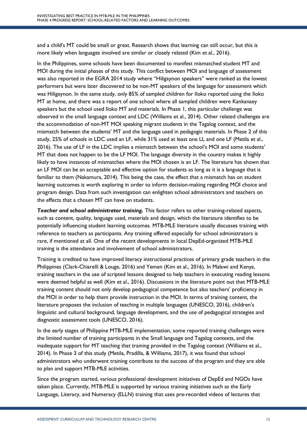and a child's MT could be small or great. Research shows that learning can still occur, but this is more likely when languages involved are similar or closely related (Kim et al., 2016).

In the Philippines, some schools have been documented to manifest mismatched student MT and MOI during the initial phases of this study. This conflict between MOI and language of assessment was also reported in the EGRA 2014 study where "Hiligaynon speakers" were ranked as the lowest performers but were later discovered to be non-MT speakers of the language for assessment which was Hiligaynon. In the same study, only 85% of sampled children for Iloko reported using the Iloko MT at home, and there was a report of one school where all sampled children were Kankanaey speakers but the school used Iloko MT and materials. In Phase 1, this particular challenge was observed in the small language context and LDC (Williams et al., 2014). Other related challenges are the accommodation of non-MT MOI speaking migrant students in the Tagalog context, and the mismatch between the students' MT and the language used in pedagogic materials. In Phase 2 of this study, 25% of schools in LDC used an LF, while 31% used at least one LL and one LF (Metila et al., 2016). The use of LF in the LDC implies a mismatch between the school's MOI and some students' MT that does not happen to be the LF MOI. The language diversity in the country makes it highly likely to have instances of mismatches where the MOI chosen is an LF. The literature has shown that an LF MOI can be an acceptable and effective option for students as long as it is a language that is familiar to them (Nakamura, 2014). This being the case, the effect that a mismatch has on student learning outcomes is worth exploring in order to inform decision-making regarding MOI choice and program design. Data from such investigation can enlighten school administrators and teachers on the effects that a chosen MT can have on students.

*Teacher and school administrator training.* This factor refers to other training-related aspects, such as content, quality, language used, materials and design, which the literature identifies to be potentially influencing student learning outcomes. MTB-MLE literature usually discusses training with reference to teachers as participants. Any training offered especially for school administrators is rare, if mentioned at all. One of the recent developments in local DepEd-organized MTB-MLE training is the attendance and involvement of school administrators.

Training is credited to have improved literacy instructional practices of primary grade teachers in the Philippines (Clark-Chiarelli & Louge, 2016) and Yemen (Kim et al., 2016). In Malawi and Kenya, training teachers in the use of scripted lessons designed to help teachers in executing reading lessons were deemed helpful as well (Kim et al., 2016). Discussions in the literature point out that MTB-MLE training content should not only develop pedagogical competence but also teachers' proficiency in the MOI in order to help them provide instruction in the MOI. In terms of training content, the literature proposes the inclusion of teaching in multiple languages (UNESCO, 2016), children's linguistic and cultural background, language development, and the use of pedagogical strategies and diagnostic assessment tools (UNESCO, 2016).

In the early stages of Philippine MTB-MLE implementation, some reported training challenges were the limited number of training participants in the Small language and Tagalog contexts, and the inadequate support for MT teaching that training provided in the Tagalog context (Williams et al., 2014). In Phase 3 of this study (Metila, Pradilla, & Williams, 2017), it was found that school administrators who underwent training contribute to the success of the program and they are able to plan and support MTB-MLE activities.

Since the program started, various professional development initiatives of DepEd and NGOs have taken place. Currently, MTB-MLE is supported by various training initiatives such as the Early Language, Literacy, and Numeracy (ELLN) training that uses pre-recorded videos of lectures that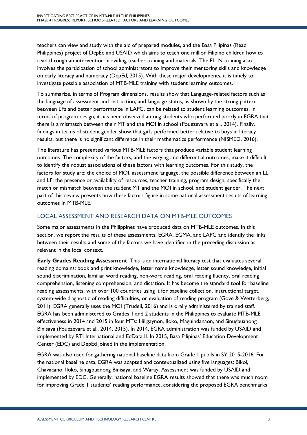teachers can view and study with the aid of prepared modules, and the Basa Pilipinas (Read Philippines) project of DepEd and USAID which aims to teach one million Filipino children how to read through an intervention providing teacher training and materials. The ELLN training also involves the participation of school administrators to improve their mentoring skills and knowledge on early literacy and numeracy (DepEd, 2015). With these major developments, it is timely to investigate possible association of MTB-MLE training with student learning outcomes.

To summarize, in terms of Program dimensions, results show that Language-related factors such as the language of assessment and instruction, and language status, as shown by the strong pattern between LFs and better performance in LAPG, can be related to student learning outcomes. In terms of program design, it has been observed among students who performed poorly in EGRA that there is a mismatch between their MT and the MOI in school (Pouezevara et al., 2014). Finally, findings in terms of student gender show that girls performed better relative to boys in literacy results, but there is no significant difference in their mathematics performance (NISMED, 2016).

The literature has presented various MTB-MLE factors that produce variable student learning outcomes. The complexity of the factors, and the varying and differential outcomes, make it difficult to identify the robust associations of these factors with learning outcomes. For this study, the factors for study are: the choice of MOI, assessment language, the possible difference between an LL and LF, the presence or availability of resources, teacher training, program design, specifically the match or mismatch between the student MT and the MOI in school, and student gender. The next part of this review presents how these factors figure in some national assessment results of learning outcomes in MTB-MLE.

# LOCAL ASSESSMENT AND RESEARCH DATA ON MTB-MLE OUTCOMES

Some major assessments in the Philippines have produced data on MTB-MLE outcomes. In this section, we report the results of these assessments: EGRA, EGMA, and LAPG and identify the links between their results and some of the factors we have identified in the preceding discussion as relevant in the local context.

**Early Grades Reading Assessment**. This is an international literacy test that evaluates several reading domains: book and print knowledge, letter name knowledge, letter sound knowledge, initial sound discrimination, familiar word reading, non-word reading, oral reading fluency, oral reading comprehension, listening comprehension, and dictation. It has become the standard tool for baseline reading assessments, with over 100 countries using it for baseline collection, instructional target, system-wide diagnostic of reading difficulties, or evaluation of reading program (Gove & Wetterberg, 2011). EGRA generally uses the MOI (Trudell, 2016) and is orally administered by trained staff. EGRA has been administered to Grades 1 and 2 students in the Philippines to evaluate MTB-MLE effectiveness in 2014 and 2015 in four MTs: Hiligaynon, Iloko, Maguindanaon, and Sinugbuanong Binisaya (Pouezevara et al., 2014, 2015). In 2014, EGRA administration was funded by USAID and implemented by RTI International and EdData II. In 2015, Basa Pilipinas' Education Development Center (EDC) and DepEd joined in the implementation.

EGRA was also used for gathering national baseline data from Grade 1 pupils in SY 2015-2016. For the national baseline data, EGRA was adapted and contextualized using five languages: Bikol, Chavacano, Iloko, Sinugbuanong Binisaya, and Waray. Assessment was funded by USAID and implemented by EDC. Generally, national baseline EGRA results showed that there was much room for improving Grade 1 students' reading performance, considering the proposed EGRA benchmarks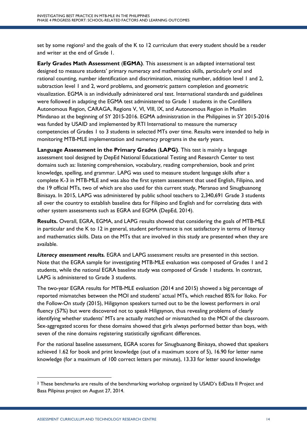set by some regions<sup>2</sup> and the goals of the K to 12 curriculum that every student should be a reader and writer at the end of Grade 1.

**Early Grades Math Assessment** (**EGMA)**. This assessment is an adapted international test designed to measure students' primary numeracy and mathematics skills, particularly oral and rational counting, number identification and discrimination, missing number, addition level 1 and 2, subtraction level 1 and 2, word problems, and geometric pattern completion and geometric visualization. EGMA is an individually administered oral test. International standards and guidelines were followed in adapting the EGMA test administered to Grade 1 students in the Cordillera Autonomous Region, CARAGA, Regions V, VI, VIII, IX, and Autonomous Region in Muslim Mindanao at the beginning of SY 2015-2016. EGMA administration in the Philippines in SY 2015-2016 was funded by USAID and implemented by RTI International to measure the numeracy competencies of Grades 1 to 3 students in selected MTs over time. Results were intended to help in monitoring MTB-MLE implementation and numeracy programs in the early years.

**Language Assessment in the Primary Grades** (**LAPG)**. This test is mainly a language assessment tool designed by DepEd National Educational Testing and Research Center to test domains such as: listening comprehension, vocabulary, reading comprehension, book and print knowledge, spelling, and grammar. LAPG was used to measure student language skills after a complete K-3 in MTB-MLE and was also the first system assessment that used English, Filipino, and the 19 official MTs, two of which are also used for this current study, Meranao and Sinugbuanong Binisaya. In 2015, LAPG was administered by public school teachers to 2,340,691 Grade 3 students all over the country to establish baseline data for Filipino and English and for correlating data with other system assessments such as EGRA and EGMA (DepEd, 2014).

**Results.** Overall, EGRA, EGMA, and LAPG results showed that considering the goals of MTB-MLE in particular and the K to 12 in general, student performance is not satisfactory in terms of literacy and mathematics skills. Data on the MTs that are involved in this study are presented when they are available.

*Literacy assessment results.* EGRA and LAPG assessment results are presented in this section. Note that the EGRA sample for investigating MTB-MLE evaluation was composed of Grades 1 and 2 students, while the national EGRA baseline study was composed of Grade 1 students. In contrast, LAPG is administered to Grade 3 students.

The two-year EGRA results for MTB-MLE evaluation (2014 and 2015) showed a big percentage of reported mismatches between the MOI and students' actual MTs, which reached 85% for Iloko. For the Follow-On study (2015), Hiligaynon speakers turned out to be the lowest performers in oral fluency (57%) but were discovered not to speak Hiligaynon, thus revealing problems of clearly identifying whether students' MTs are actually matched or mismatched to the MOI of the classroom. Sex-aggregated scores for these domains showed that girls always performed better than boys, with seven of the nine domains registering statistically significant differences.

For the national baseline assessment, EGRA scores for Sinugbuanong Binisaya, showed that speakers achieved 1.62 for book and print knowledge (out of a maximum score of 5), 16.90 for letter name knowledge (for a maximum of 100 correct letters per minute), 13.33 for letter sound knowledge

 <sup>2</sup> These benchmarks are results of the benchmarking workshop organized by USAID's EdData II Project and Basa Pilipinas project on August 27, 2014.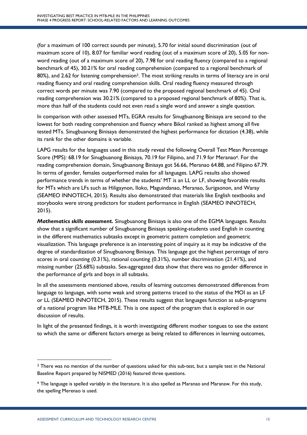(for a maximum of 100 correct sounds per minute), 5.70 for initial sound discrimination (out of maximum score of 10), 8.07 for familiar word reading (out of a maximum score of 20), 5.05 for nonword reading (out of a maximum score of 20), 7.98 for oral reading fluency (compared to a regional benchmark of 45), 30.21% for oral reading comprehension (compared to a regional benchmark of 80%), and 2.62 for listening comprehension<sup>3</sup>. The most striking results in terms of literacy are in oral reading fluency and oral reading comprehension skills. Oral reading fluency measured through correct words per minute was 7.90 (compared to the proposed regional benchmark of 45). Oral reading comprehension was 30.21% (compared to a proposed regional benchmark of 80%). That is, more than half of the students could not even read a single word and answer a single question.

In comparison with other assessed MTs, EGRA results for Sinugbuanong Binisaya are second to the lowest for both reading comprehension and fluency where Bikol ranked as highest among all five tested MTs. Sinugbuanong Binisaya demonstrated the highest performance for dictation (4.38), while its rank for the other domains is variable.

LAPG results for the languages used in this study reveal the following Overall Test Mean Percentage Score (MPS): 68.19 for Sinugbuanong Binisaya, 70.19 for Filipino, and 71.9 for Meranao<sup>4</sup>. For the reading comprehension domain, Sinugbuanong Binisaya got 56.66, Meranao 64.88, and Filipino 67.79. In terms of gender, females outperformed males for all languages. LAPG results also showed performance trends in terms of whether the students' MT is an LL or LF, showing favorable results for MTs which are LFs such as Hiligaynon, Iloko, Maguindanao, Meranao, Surigaonon, and Waray (SEAMEO INNOTECH, 2015). Results also demonstrated that materials like English textbooks and storybooks were strong predictors for student performance in English (SEAMEO INNOTECH, 2015).

*Mathematics skills assessment.* Sinugbuanong Binisaya is also one of the EGMA languages. Results show that a significant number of Sinugbuanong Binisaya speaking-students used English in counting in the different mathematics subtasks except in geometric pattern completion and geometric visualization. This language preference is an interesting point of inquiry as it may be indicative of the degree of standardization of Sinugbuanong Binisaya. This language got the highest percentage of zero scores in oral counting (0.31%), rational counting (0.31%), number discrimination (21.41%), and missing number (25.68%) subtasks. Sex-aggregated data show that there was no gender difference in the performance of girls and boys in all subtasks.

In all the assessments mentioned above, results of learning outcomes demonstrated differences from language to language, with some weak and strong patterns traced to the status of the MOI as an LF or LL (SEAMEO INNOTECH, 2015). These results suggest that languages function as sub-programs of a national program like MTB-MLE. This is one aspect of the program that is explored in our discussion of results.

In light of the presented findings, it is worth investigating different mother tongues to see the extent to which the same or different factors emerge as being related to differences in learning outcomes,

<sup>&</sup>lt;sup>3</sup> There was no mention of the number of questions asked for this sub-test, but a sample test in the National Baseline Report prepared by NISMED (2016) featured three questions.

<sup>4</sup> The language is spelled variably in the literature. It is also spelled as Maranao and Maranaw. For this study, the spelling Merenao is used.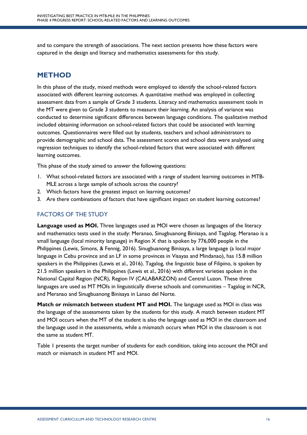and to compare the strength of associations. The next section presents how these factors were captured in the design and literacy and mathematics assessments for this study.

# **METHOD**

In this phase of the study, mixed methods were employed to identify the school-related factors associated with different learning outcomes. A quantitative method was employed in collecting assessment data from a sample of Grade 3 students. Literacy and mathematics assessment tools in the MT were given to Grade 3 students to measure their learning. An analysis of variance was conducted to determine significant differences between language conditions. The qualitative method included obtaining information on school-related factors that could be associated with learning outcomes. Questionnaires were filled out by students, teachers and school administrators to provide demographic and school data. The assessment scores and school data were analysed using regression techniques to identify the school-related factors that were associated with different learning outcomes.

This phase of the study aimed to answer the following questions:

- 1. What school-related factors are associated with a range of student learning outcomes in MTB-MLE across a large sample of schools across the country?
- 2. Which factors have the greatest impact on learning outcomes?
- 3. Are there combinations of factors that have significant impact on student learning outcomes?

# FACTORS OF THE STUDY

**Language used as MOI.** Three languages used as MOI were chosen as languages of the literacy and mathematics tests used in the study: Meranao, Sinugbuanong Binisaya, and Tagalog. Meranao is a small language (local minority language) in Region X that is spoken by 776,000 people in the Philippines (Lewis, Simons, & Fennig, 2016). Sinugbuanong Binisaya, a large language (a local major language in Cebu province and an LF in some provinces in Visayas and Mindanao), has 15.8 million speakers in the Philippines (Lewis et al., 2016). Tagalog, the linguistic base of Filipino, is spoken by 21.5 million speakers in the Philippines (Lewis et al., 2016) with different varieties spoken in the National Capital Region (NCR), Region IV (CALABARZON) and Central Luzon. These three languages are used as MT MOIs in linguistically diverse schools and communities – Tagalog in NCR, and Meranao and Sinugbuanong Binisaya in Lanao del Norte.

**Match or mismatch between student MT and MOI.** The language used as MOI in class was the language of the assessments taken by the students for this study. A match between student MT and MOI occurs when the MT of the student is also the language used as MOI in the classroom and the language used in the assessments, while a mismatch occurs when MOI in the classroom is not the same as student MT.

Table 1 presents the target number of students for each condition, taking into account the MOI and match or mismatch in student MT and MOI.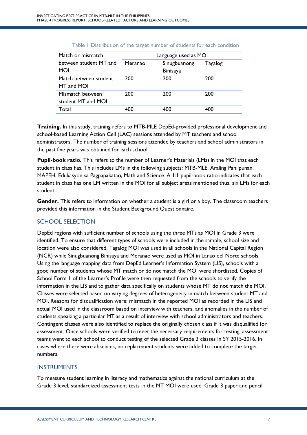| Match or mismatch      |         | Language used as MOI |         |
|------------------------|---------|----------------------|---------|
| between student MT and | Meranao | Sinugbuanong         | Tagalog |
| MOI                    |         | <b>Binisaya</b>      |         |
| Match between student  | 200     | 200                  | 200     |
| MT and MOI             |         |                      |         |
| Mismatch between       | 200     | 200                  | 200     |
| student MT and MOI     |         |                      |         |
| Total                  | 400     | 400                  | 400     |
|                        |         |                      |         |

#### Table 1 Distribution of the target number of students for each condition

**Training.** In this study, training refers to MTB-MLE DepEd-provided professional development and school-based Learning Action Cell (LAC) sessions attended by MT teachers and school administrators. The number of training sessions attended by teachers and school administrators in the past five years was obtained for each school.

**Pupil-book ratio.** This refers to the number of Learner's Materials (LMs) in the MOI that each student in class has. This includes LMs in the following subjects: MTB-MLE, Araling Panlipunan, MAPEH, Edukasyon sa Pagpapakatao, Math and Science. A 1:1 pupil-book ratio indicates that each student in class has one LM written in the MOI for all subject areas mentioned thus, six LMs for each student.

**Gender.** This refers to information on whether a student is a girl or a boy. The classroom teachers provided this information in the Student Background Questionnaire.

# SCHOOL SELECTION

DepEd regions with sufficient number of schools using the three MTs as MOI in Grade 3 were identified. To ensure that different types of schools were included in the sample, school size and location were also considered. Tagalog MOI was used in all schools in the National Capital Region (NCR) while Sinugbuanong Binisaya and Meranao were used as MOI in Lanao del Norte schools. Using the language mapping data from DepEd Learner's Information System (LIS), schools with a good number of students whose MT match or do not match the MOI were shortlisted. Copies of School Form 1 of the Learner's Profile were then requested from the schools to verify the information in the LIS and to gather data specifically on students whose MT do not match the MOI. Classes were selected based on varying degrees of heterogeneity in match between student MT and MOI. Reasons for disqualification were: mismatch in the reported MOI as recorded in the LIS and actual MOI used in the classroom based on interview with teachers, and anomalies in the number of students speaking a particular MT as a result of interview with school administrators and teachers. Contingent classes were also identified to replace the originally chosen class if it was disqualified for assessment. Once schools were verified to meet the necessary requirements for testing, assessment teams went to each school to conduct testing of the selected Grade 3 classes in SY 2015-2016. In cases where there were absences, no replacement students were added to complete the target numbers.

# INSTRUMENTS

To measure student learning in literacy and mathematics against the national curriculum at the Grade 3 level, standardized assessment tests in the MT MOI were used. Grade 3 paper and pencil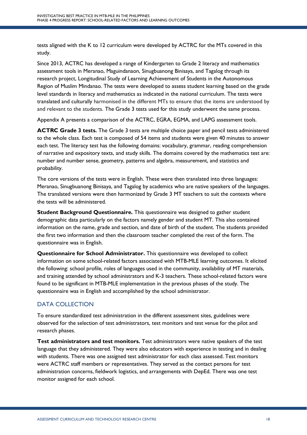tests aligned with the K to 12 curriculum were developed by ACTRC for the MTs covered in this study.

Since 2013, ACTRC has developed a range of Kindergarten to Grade 2 literacy and mathematics assessment tools in Meranao, Maguindanaon, Sinugbuanong Binisaya, and Tagalog through its research project, Longitudinal Study of Learning Achievement of Students in the Autonomous Region of Muslim Mindanao. The tests were developed to assess student learning based on the grade level standards in literacy and mathematics as indicated in the national curriculum. The tests were translated and culturally harmonised in the different MTs to ensure that the items are understood by and relevant to the students. The Grade 3 tests used for this study underwent the same process.

Appendix A presents a comparison of the ACTRC, EGRA, EGMA, and LAPG assessment tools.

**ACTRC Grade 3 tests.** The Grade 3 tests are multiple choice paper and pencil tests administered to the whole class. Each test is composed of 54 items and students were given 40 minutes to answer each test. The literacy test has the following domains: vocabulary, grammar, reading comprehension of narrative and expository texts, and study skills. The domains covered by the mathematics test are: number and number sense, geometry, patterns and algebra, measurement, and statistics and probability.

The core versions of the tests were in English. These were then translated into three languages: Meranao, Sinugbuanong Binisaya, and Tagalog by academics who are native speakers of the languages. The translated versions were then harmonized by Grade 3 MT teachers to suit the contexts where the tests will be administered.

**Student Background Questionnaire.** This questionnaire was designed to gather student demographic data particularly on the factors namely gender and student MT. This also contained information on the name, grade and section, and date of birth of the student. The students provided the first two information and then the classroom teacher completed the rest of the form. The questionnaire was in English.

**Questionnaire for School Administrator.** This questionnaire was developed to collect information on some school-related factors associated with MTB-MLE learning outcomes. It elicited the following: school profile, roles of languages used in the community, availability of MT materials, and training attended by school administrators and K-3 teachers. These school-related factors were found to be significant in MTB-MLE implementation in the previous phases of the study. The questionnaire was in English and accomplished by the school administrator.

# DATA COLLECTION

To ensure standardized test administration in the different assessment sites, guidelines were observed for the selection of test administrators, test monitors and test venue for the pilot and research phases.

**Test administrators and test monitors.** Test administrators were native speakers of the test language that they administered. They were also educators with experience in testing and in dealing with students. There was one assigned test administrator for each class assessed. Test monitors were ACTRC staff members or representatives. They served as the contact persons for test administration concerns, fieldwork logistics, and arrangements with DepEd. There was one test monitor assigned for each school.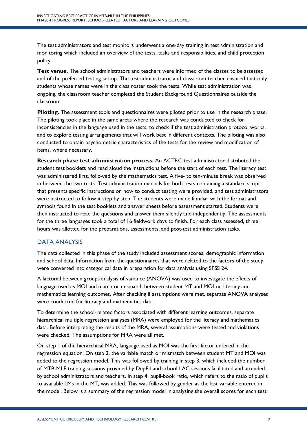The test administrators and test monitors underwent a one-day training in test administration and monitoring which included an overview of the tests, tasks and responsibilities, and child protection policy.

**Test venue.** The school administrators and teachers were informed of the classes to be assessed and of the preferred testing set-up. The test administrator and classroom teacher ensured that only students whose names were in the class roster took the tests. While test administration was ongoing, the classroom teacher completed the Student Background Questionnaires outside the classroom.

**Piloting.** The assessment tools and questionnaires were piloted prior to use in the research phase. The piloting took place in the same areas where the research was conducted to check for inconsistencies in the language used in the tests, to check if the test administration protocol works, and to explore testing arrangements that will work best in different contexts. The piloting was also conducted to obtain psychometric characteristics of the tests for the review and modification of items, where necessary.

**Research phase test administration process.** An ACTRC test administrator distributed the student test booklets and read aloud the instructions before the start of each test. The literacy test was administered first, followed by the mathematics test. A five- to ten-minute break was observed in between the two tests. Test administration manuals for both tests containing a standard script that presents specific instructions on how to conduct testing were provided, and test administrators were instructed to follow it step by step. The students were made familiar with the format and symbols found in the test booklets and answer sheets before assessment started. Students were then instructed to read the questions and answer them silently and independently. The assessments for the three languages took a total of 16 fieldwork days to finish. For each class assessed, three hours was allotted for the preparations, assessments, and post-test administration tasks.

# DATA ANALYSIS

The data collected in this phase of the study included assessment scores, demographic information and school data. Information from the questionnaires that were related to the factors of the study were converted into categorical data in preparation for data analysis using SPSS 24.

A factorial between groups analysis of variance (ANOVA) was used to investigate the effects of language used as MOI and match or mismatch between student MT and MOI on literacy and mathematics learning outcomes. After checking if assumptions were met, separate ANOVA analyses were conducted for literacy and mathematics data.

To determine the school-related factors associated with different learning outcomes, separate hierarchical multiple regression analyses (MRA) were employed for the literacy and mathematics data. Before interpreting the results of the MRA, several assumptions were tested and violations were checked. The assumptions for MRA were all met.

On step 1 of the hierarchical MRA, language used as MOI was the first factor entered in the regression equation. On step 2, the variable match or mismatch between student MT and MOI was added to the regression model. This was followed by training in step 3, which included the number of MTB-MLE training sessions provided by DepEd and school LAC sessions facilitated and attended by school administrators and teachers. In step 4, pupil-book ratio, which refers to the ratio of pupils to available LMs in the MT, was added. This was followed by gender as the last variable entered in the model. Below is a summary of the regression model in analysing the overall scores for each test: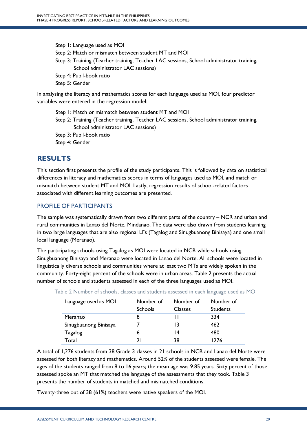Step 1: Language used as MOI Step 2: Match or mismatch between student MT and MOI Step 3: Training (Teacher training, Teacher LAC sessions, School administrator training, School administrator LAC sessions) Step 4: Pupil-book ratio

Step 5: Gender

In analysing the literacy and mathematics scores for each language used as MOI, four predictor variables were entered in the regression model:

Step 1: Match or mismatch between student MT and MOI

Step 2: Training (Teacher training, Teacher LAC sessions, School administrator training, School administrator LAC sessions)

Step 3: Pupil-book ratio

Step 4: Gender

# **RESULTS**

This section first presents the profile of the study participants. This is followed by data on statistical differences in literacy and mathematics scores in terms of languages used as MOI, and match or mismatch between student MT and MOI. Lastly, regression results of school-related factors associated with different learning outcomes are presented.

# PROFILE OF PARTICIPANTS

The sample was systematically drawn from two different parts of the country – NCR and urban and rural communities in Lanao del Norte, Mindanao. The data were also drawn from students learning in two large languages that are also regional LFs (Tagalog and Sinugbuanong Binisaya) and one small local language (Meranao).

The participating schools using Tagalog as MOI were located in NCR while schools using Sinugbuanong Binisaya and Meranao were located in Lanao del Norte. All schools were located in linguistically diverse schools and communities where at least two MTs are widely spoken in the community. Forty-eight percent of the schools were in urban areas. Table 2 presents the actual number of schools and students assessed in each of the three languages used as MOI.

| Language used as MOI  | Number of      | Number of | Number of       |
|-----------------------|----------------|-----------|-----------------|
|                       | <b>Schools</b> | Classes   | <b>Students</b> |
| Meranao               |                |           | 334             |
| Sinugbuanong Binisaya |                |           | 462             |
| Tagalog               |                |           | 480             |
| Total                 |                | 38        | 776             |

Table 2 Number of schools, classes and students assessed in each language used as MOI

A total of 1,276 students from 38 Grade 3 classes in 21 schools in NCR and Lanao del Norte were assessed for both literacy and mathematics. Around 52% of the students assessed were female. The ages of the students ranged from 8 to 16 years; the mean age was 9.85 years. Sixty percent of those assessed spoke an MT that matched the language of the assessments that they took. Table 3 presents the number of students in matched and mismatched conditions.

Twenty-three out of 38 (61%) teachers were native speakers of the MOI.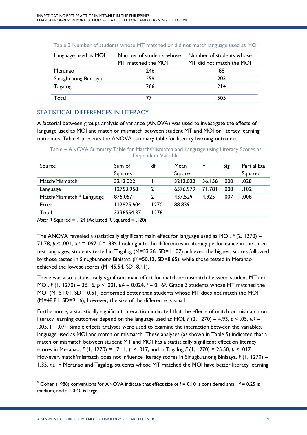| Language used as MOI | Number of students whose | Number of students whose |
|----------------------|--------------------------|--------------------------|
|                      | MT matched the MOI       | MT did not match the MOI |
| Meranao              | 246                      | 88                       |
| Sinugbuaong Binisaya | 259                      | 203                      |
| Tagalog              | 266                      | 214                      |
| Total                | 77 I                     | 505                      |

# STATISTICAL DIFFERENCES IN LITERACY

A factorial between groups analysis of variance (ANOVA) was used to investigate the effects of language used as MOI and match or mismatch between student MT and MOI on literacy learning outcomes. Table 4 presents the ANOVA summary table for literacy learning outcomes.

Table 4 ANOVA Summary Table for Match/Mismatch and Language using Literacy Scores as Dependent Variable

| Source                          | Sum of<br>Squares                                              | df   | Mean<br>Square | F      | Sig  | Partial Eta<br>Squared |
|---------------------------------|----------------------------------------------------------------|------|----------------|--------|------|------------------------|
| Match/Mismatch                  | 3212.022                                                       |      | 3212.022       | 36.156 | .000 | .028                   |
| Language                        | 12753.958                                                      | 2    | 6376.979       | 71.781 | .000 | .102                   |
| Match/Mismatch * Language       | 875.057                                                        | 2    | 437.529        | 4.925  | .007 | .008                   |
| Error                           | 112825.604                                                     | 1270 | 88.839         |        |      |                        |
| Total<br>$\cdots$ $\cdots$<br>. | 3336554.37<br>$\sim$ $\sim$ $\sim$ $\sim$ $\sim$ $\sim$ $\sim$ | 1276 |                |        |      |                        |

*Note:* R Squared = .124 (Adjusted R Squared = .120)

The ANOVA revealed a statistically significant main effect for language used as MOI, *F* (2, 1270) = 71.78,  $p < .001$ ,  $\omega^2 = .097$ ,  $f = .335$ . Looking into the differences in literacy performance in the three test languages, students tested in Tagalog (M=53.36, SD=11.07) achieved the highest scores followed by those tested in Sinugbuanong Binisaya (M=50.12, SD=8.65), while those tested in Meranao achieved the lowest scores (M=45.54, SD=8.41).

There was also a statistically significant main effect for match or mismatch between student MT and MOI, *F* (1, 1270) = 36.16, *p* < .001, ω<sup>2</sup> = 0.024, f = 0.165. Grade 3 students whose MT matched the MOI (M=51.01, SD=10.51) performed better than students whose MT does not match the MOI (M=48.81, SD=9.16); however, the size of the difference is small.

Furthermore, a statistically significant interaction indicated that the effects of match or mismatch on literacy learning outcomes depend on the language used as MOI, *F* (2, 1270) = 4.93,  $p < .05$ ,  $\omega^2$  = .005,  $f = .075$ . Simple effects analyses were used to examine the interaction between the variables, language used as MOI and match or mismatch. These analyses (as shown in Table 5) indicated that a match or mismatch between student MT and MOI has a statistically significant effect on literacy scores in Meranao, *F* (1, 1270) = 17.11, *p* < .017, and in Tagalog *F* (1, 1270) = 25.50, *p* < .017. However, match/mismatch does not influence literacy scores in Sinugbuanong Binisaya, *F* (1, 1270) = 1.35, *ns.* In Meranao and Tagalog, students whose MT matched the MOI have better literacy learning

<sup>&</sup>lt;sup>5</sup> Cohen (1988) conventions for ANOVA indicate that effect size of  $f = 0.10$  is considered small,  $f = 0.25$  is medium, and  $f = 0.40$  is large.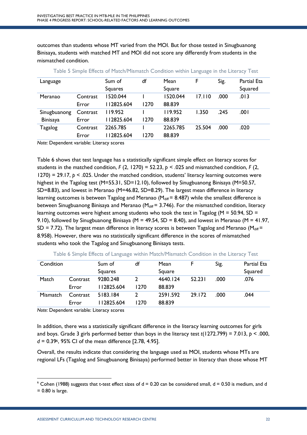outcomes than students whose MT varied from the MOI. But for those tested in Sinugbuanong Binisaya, students with matched MT and MOI did not score any differently from students in the mismatched condition.

| Language                              |                   | Sum of<br><b>Squares</b> | df   | Mean<br>Square     | F      | Sig. | Partial Eta<br>Squared |
|---------------------------------------|-------------------|--------------------------|------|--------------------|--------|------|------------------------|
| Meranao                               | Contrast<br>Error | 520.044<br>112825.604    | 1270 | 1520.044<br>88.839 | 17.110 | .000 | .013                   |
| Sinugbuanong<br>Binisaya              | Contrast<br>Error | 119.952<br>112825.604    | 1270 | 119.952<br>88.839  | 1.350  | .245 | .001                   |
| Tagalog<br>$\cdots$<br>$\blacksquare$ | Contrast<br>Error | 2265.785<br>112825.604   | 1270 | 2265.785<br>88.839 | 25.504 | .000 | .020                   |

Table 5 Simple Effects of Match/Mismatch Condition within Language in the Literacy Test

*Note:* Dependent variable: Literacy scores

Table 6 shows that test language has a statistically significant simple effect on literacy scores for students in the matched condition,  $F(2, 1270) = 52.23$ ,  $p < .025$  and mismatched condition,  $F(2, 1270)$ 1270) = 29.17,  $p \le 0.025$ . Under the matched condition, students' literacy learning outcomes were highest in the Tagalog test (M=55.31, SD=12.10), followed by Sinugbuanong Binisaya (M=50.57, SD=8.83), and lowest in Meranao (M=46.82, SD=8.29). The largest mean difference in literacy learning outcomes is between Tagalog and Meranao ( $M_{diff}$  = 8.487) while the smallest difference is between Sinugbuanong Binisaya and Meranao ( $M_{diff}$  = 3.746). For the mismatched condition, literacy learning outcomes were highest among students who took the test in Tagalog ( $M = 50.94$ , SD = 9.10), followed by Sinugbuanong Binisaya (M = 49.54, SD = 8.40), and lowest in Meranao (M = 41.97, SD = 7.72). The largest mean difference in literacy scores is between Tagalog and Meranao ( $M_{diff}$  = 8.958). However, there was no statistically significant difference in the scores of mismatched students who took the Tagalog and Sinugbuanong Binisaya tests.

| Condition |          | Sum of         | df   | Mean     |        | Sig. | <b>Partial Eta</b> |
|-----------|----------|----------------|------|----------|--------|------|--------------------|
|           |          | <b>Squares</b> |      | Square   |        |      | Squared            |
| Match     | Contrast | 9280.248       |      | 4640.124 | 52.231 | .000 | .076               |
|           | Error    | 112825.604     | 1270 | 88.839   |        |      |                    |
| Mismatch  | Contrast | 5183.184       |      | 2591.592 | 29.172 | .000 | .044               |
|           | Error    | 112825.604     | 1270 | 88.839   |        |      |                    |

Table 6 Simple Effects of Language within Match/Mismatch Condition in the Literacy Test

*Note:* Dependent variable: Literacy scores

In addition, there was a statistically significant difference in the literacy learning outcomes for girls and boys. Grade 3 girls performed better than boys in the literacy test  $t(1272.799) = 7.013$ ,  $p < .000$ , *d* = 0.396, 95% CI of the mean difference [2.78, 4.95].

Overall, the results indicate that considering the language used as MOI, students whose MTs are regional LFs (Tagalog and Sinugbuanong Binisaya) performed better in literacy than those whose MT

 $6$  Cohen (1988) suggests that t-test effect sizes of  $d = 0.20$  can be considered small,  $d = 0.50$  is medium, and d  $= 0.80$  is large.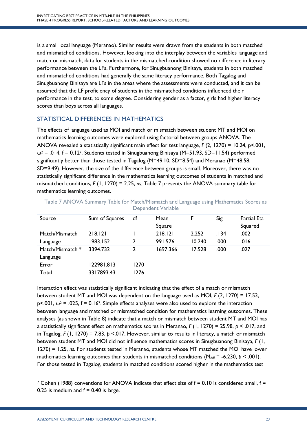is a small local language (Meranao). Similar results were drawn from the students in both matched and mismatched conditions. However, looking into the interplay between the variables language and match or mismatch, data for students in the mismatched condition showed no difference in literacy performance between the LFs. Furthermore, for Sinugbuanong Binisaya, students in both matched and mismatched conditions had generally the same literacy performance. Both Tagalog and Sinugbuanong Binisaya are LFs in the areas where the assessments were conducted, and it can be assumed that the LF proficiency of students in the mismatched conditions influenced their performance in the test, to some degree. Considering gender as a factor, girls had higher literacy scores than boys across all languages.

# STATISTICAL DIFFERENCES IN MATHEMATICS

The effects of language used as MOI and match or mismatch between student MT and MOI on mathematics learning outcomes were explored using factorial between groups ANOVA. The ANOVA revealed a statistically significant main effect for test language, *F* (2, 1270) = 10.24, p<.001,  $\omega^2$  = .014, f = 0.127. Students tested in Sinugbuanong Binisaya (M=51.93, SD=11.54) performed significantly better than those tested in Tagalog (M=49.10, SD=8.54) and Meranao (M=48.58, SD=9.49). However, the size of the difference between groups is small. Moreover, there was no statistically significant difference in the mathematics learning outcomes of students in matched and mismatched conditions, *F* (1, 1270) = 2.25, *ns.* Table 7 presents the ANOVA summary table for mathematics learning outcomes.

| Source           | Sum of Squares | df   | Mean     | F.     | Sig  | Partial Eta |
|------------------|----------------|------|----------|--------|------|-------------|
|                  |                |      | Square   |        |      | Squared     |
| Match/Mismatch   | 218.121        |      | 218.121  | 2.252  | .134 | .002        |
| Language         | 1983.152       | 2    | 991.576  | 10.240 | .000 | .016        |
| Match/Mismatch * | 3394.732       | າ    | 1697.366 | 17.528 | .000 | .027        |
| Language         |                |      |          |        |      |             |
| Error            | 122981.813     | 1270 |          |        |      |             |
| Total            | 3317893.43     | 1276 |          |        |      |             |
|                  |                |      |          |        |      |             |

Table 7 ANOVA Summary Table for Match/Mismatch and Language using Mathematics Scores as Dependent Variable

Interaction effect was statistically significant indicating that the effect of a match or mismatch between student MT and MOI was dependent on the language used as MOI, *F* (2, 1270) = 17.53,  $p<.001$ ,  $\omega^2 = .025$ ,  $f = 0.167$ . Simple effects analyses were also used to explore the interaction between language and matched or mismatched condition for mathematics learning outcomes. These analyses (as shown in Table 8) indicate that a match or mismatch between student MT and MOI has a statistically significant effect on mathematics scores in Meranao, *F* (1, 1270) = 25.98, *p* < .017, and in Tagalog, *F* (1, 1270) = 7.83, *p* <.017. However, similar to results in literacy, a match or mismatch between student MT and MOI did not influence mathematics scores in Sinugbuanong Binisaya, *F* (1, 1270) = 1.25, *ns.* For students tested in Meranao, students whose MT matched the MOI have lower mathematics learning outcomes than students in mismatched conditions ( $M_{\text{diff}}$  = -6.230,  $p$  < .001). For those tested in Tagalog, students in matched conditions scored higher in the mathematics test

<sup>&</sup>lt;sup>7</sup> Cohen (1988) conventions for ANOVA indicate that effect size of  $f = 0.10$  is considered small,  $f =$ 0.25 is medium and  $f = 0.40$  is large.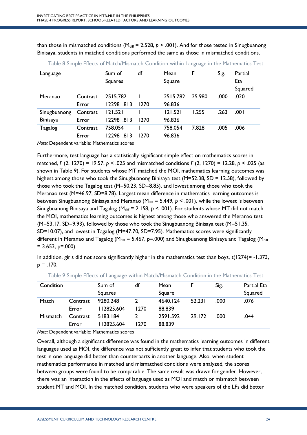than those in mismatched conditions ( $M_{\text{diff}}$  = 2.528,  $p$  < .001). And for those tested in Sinugbuanong Binisaya, students in matched conditions performed the same as those in mismatched conditions.

|          | Sum of     | df   | Mean     | F      | Sig. | Partial |
|----------|------------|------|----------|--------|------|---------|
|          | Squares    |      | Square   |        |      | Eta     |
|          |            |      |          |        |      | Squared |
| Contrast | 2515.782   |      | 2515.782 | 25.980 | .000 | .020    |
| Error    | 122981.813 | 1270 | 96.836   |        |      |         |
| Contrast | 121.521    |      | 121.521  | 1.255  | .263 | .001    |
| Error    | 122981.813 | 1270 | 96.836   |        |      |         |
| Contrast | 758.054    |      | 758.054  | 7.828  | .005 | .006    |
| Error    | 122981.813 | 1270 | 96.836   |        |      |         |
|          |            |      |          |        |      |         |

Table 8 Simple Effects of Match/Mismatch Condition within Language in the Mathematics Test

*Note:* Dependent variable: Mathematics scores

Furthermore, test language has a statistically significant simple effect on mathematics scores in matched, *F* (2, 1270) = 19.57, *p* < .025 and mismatched conditions *F* (2, 1270) = 12.28, *p* < .025 (as shown in Table 9). For students whose MT matched the MOI, mathematics learning outcomes was highest among those who took the Sinugbuanong Binisaya test (M=52.38, SD = 12.58), followed by those who took the Tagalog test (M=50.23, SD=8.85), and lowest among those who took the Meranao test (M=46.97, SD=8.78). Largest mean difference in mathematics learning outcomes is between Sinugbuanong Binisaya and Meranao (M<sub>diff</sub> = 5.449,  $p < .001$ ), while the lowest is between Sinugbuanong Binisaya and Tagalog ( $M_{diff}$  = 2.158,  $p < .001$ ). For students whose MT did not match the MOI, mathematics learning outcomes is highest among those who answered the Meranao test (M=53.17, SD=9.93), followed by those who took the Sinugbuanong Binisaya test (M=51.35, SD=10.07), and lowest in Tagalog (M=47.70, SD=7.95). Mathematics scores were significantly different in Meranao and Tagalog (M<sub>diff</sub> = 5.467, p=.000) and Sinugbuanong Binisaya and Tagalog (M<sub>diff</sub>  $= 3.653$ , p=.000).

In addition, girls did not score significantly higher in the mathematics test than boys,  $t(1274) = -1.373$ ,  $p = 170$ .

| Condition |          | Sum of     | df   | Mean     |        | Sig. | <b>Partial Eta</b> |
|-----------|----------|------------|------|----------|--------|------|--------------------|
|           |          | Squares    |      | Square   |        |      | Squared            |
| Match     | Contrast | 9280.248   |      | 4640.124 | 52.231 | .000 | .076               |
|           | Error    | 112825.604 | 1270 | 88.839   |        |      |                    |
| Mismatch  | Contrast | 5183.184   |      | 2591.592 | 29.172 | .000 | .044               |
|           | Error    | 112825.604 | 1270 | 88.839   |        |      |                    |

Table 9 Simple Effects of Language within Match/Mismatch Condition in the Mathematics Test

*Note:* Dependent variable: Mathematics scores

Overall, although a significant difference was found in the mathematics learning outcomes in different languages used as MOI, the difference was not sufficiently great to infer that students who took the test in one language did better than counterparts in another language. Also, when student mathematics performance in matched and mismatched conditions were analyzed, the scores between groups were found to be comparable. The same result was drawn for gender. However, there was an interaction in the effects of language used as MOI and match or mismatch between student MT and MOI. In the matched condition, students who were speakers of the LFs did better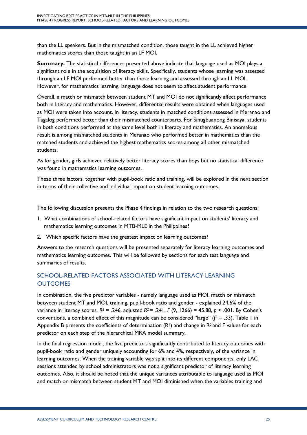than the LL speakers. But in the mismatched condition, those taught in the LL achieved higher mathematics scores than those taught in an LF MOI.

**Summary.** The statistical differences presented above indicate that language used as MOI plays a significant role in the acquisition of literacy skills. Specifically, students whose learning was assessed through an LF MOI performed better than those learning and assessed through an LL MOI. However, for mathematics learning, language does not seem to affect student performance.

Overall, a match or mismatch between student MT and MOI do not significantly affect performance both in literacy and mathematics. However, differential results were obtained when languages used as MOI were taken into account. In literacy, students in matched conditions assessed in Meranao and Tagalog performed better than their mismatched counterparts. For Sinugbuanong Binisaya, students in both conditions performed at the same level both in literacy and mathematics. An anomalous result is among mismatched students in Meranao who performed better in mathematics than the matched students and achieved the highest mathematics scores among all other mismatched students.

As for gender, girls achieved relatively better literacy scores than boys but no statistical difference was found in mathematics learning outcomes.

These three factors, together with pupil-book ratio and training, will be explored in the next section in terms of their collective and individual impact on student learning outcomes.

The following discussion presents the Phase 4 findings in relation to the two research questions:

- 1. What combinations of school-related factors have significant impact on students' literacy and mathematics learning outcomes in MTB-MLE in the Philippines?
- 2. Which specific factors have the greatest impact on learning outcomes?

Answers to the research questions will be presented separately for literacy learning outcomes and mathematics learning outcomes. This will be followed by sections for each test language and summaries of results.

# SCHOOL-RELATED FACTORS ASSOCIATED WITH LITERACY LEARNING **OUTCOMES**

In combination, the five predictor variables - namely language used as MOI, match or mismatch between student MT and MOI, training, pupil-book ratio and gender - explained 24.6% of the variance in literacy scores, *R2* = .246, adjusted *R2* = .241, *F* (9, 1266) = 45.88, *p* < .001. By Cohen's conventions, a combined effect of this magnitude can be considered "large" (*f2* = .33). Table 1 in Appendix B presents the coefficients of determination  $(R^2)$  and change in  $R^2$  and F values for each predictor on each step of the hierarchical MRA model summary.

In the final regression model, the five predictors significantly contributed to literacy outcomes with pupil-book ratio and gender uniquely accounting for 6% and 4%, respectively, of the variance in learning outcomes. When the training variable was split into its different components, only LAC sessions attended by school administrators was not a significant predictor of literacy learning outcomes. Also, it should be noted that the unique variances attributable to language used as MOI and match or mismatch between student MT and MOI diminished when the variables training and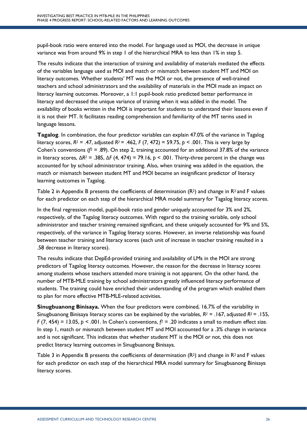pupil-book ratio were entered into the model. For language used as MOI, the decrease in unique variance was from around 9% in step 1 of the hierarchical MRA to less than 1% in step 5.

The results indicate that the interaction of training and availability of materials mediated the effects of the variables language used as MOI and match or mismatch between student MT and MOI on literacy outcomes. Whether students' MT was the MOI or not, the presence of well-trained teachers and school administrators and the availability of materials in the MOI made an impact on literacy learning outcomes. Moreover, a 1:1 pupil-book ratio predicted better performance in literacy and decreased the unique variance of training when it was added in the model. The availability of books written in the MOI is important for students to understand their lessons even if it is not their MT. It facilitates reading comprehension and familiarity of the MT terms used in language lessons.

**Tagalog**. In combination, the four predictor variables can explain 47.0% of the variance in Tagalog literacy scores,  $R^2 = .47$ , adjusted  $R^2 = .462$ ,  $F(7, 472) = 59.75$ ,  $p < .001$ . This is very large by Cohen's conventions ( $f^2$  = .89). On step 2, training accounted for an additional 37.8% of the variance in literacy scores, Δ*R2* = .385, Δ*F* (4, 474) = 79.16, *p* < .001. Thirty-three percent in the change was accounted for by school administrator training. Also, when training was added in the equation, the match or mismatch between student MT and MOI became an insignificant predictor of literacy learning outcomes in Tagalog.

Table 2 in Appendix B presents the coefficients of determination  $(R^2)$  and change in  $R^2$  and F values for each predictor on each step of the hierarchical MRA model summary for Tagalog literacy scores.

In the final regression model, pupil-book ratio and gender uniquely accounted for 3% and 2%, respectively, of the Tagalog literacy outcomes. With regard to the training variable, only school administrator and teacher training remained significant, and these uniquely accounted for 9% and 5%, respectively, of the variance in Tagalog literacy scores. However, an inverse relationship was found between teacher training and literacy scores (each unit of increase in teacher training resulted in a .58 decrease in literacy scores).

The results indicate that DepEd-provided training and availability of LMs in the MOI are strong predictors of Tagalog literacy outcomes. However, the reason for the decrease in literacy scores among students whose teachers attended more training is not apparent. On the other hand, the number of MTB-MLE training by school administrators greatly influenced literacy performance of students. The training could have enriched their understanding of the program which enabled them to plan for more effective MTB-MLE-related activities.

**Sinugbuanong Binisaya.** When the four predictors were combined, 16.7% of the variability in Sinugbuanong Binisaya literacy scores can be explained by the variables, *R2* = .167, adjusted *R2* = .155, *F* (7, 454) = 13.05,  $p < .001$ . In Cohen's conventions,  $f^2 = .20$  indicates a small to medium effect size. In step 1, match or mismatch between student MT and MOI accounted for a .3% change in variance and is not significant. This indicates that whether student MT is the MOI or not, this does not predict literacy learning outcomes in Sinugbuanong Binisaya.

Table 3 in Appendix B presents the coefficients of determination  $(R^2)$  and change in  $R^2$  and F values for each predictor on each step of the hierarchical MRA model summary for Sinugbuanong Binisaya literacy scores.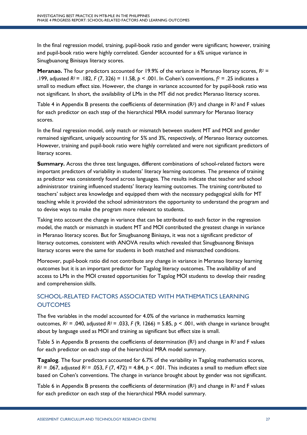In the final regression model, training, pupil-book ratio and gender were significant; however, training and pupil-book ratio were highly correlated. Gender accounted for a 6% unique variance in Sinugbuanong Binisaya literacy scores.

**Meranao.** The four predictors accounted for 19.9% of the variance in Meranao literacy scores,  $R^2$  = .199, adjusted *R2* = .182, *F* (7, 326) = 11.58, *p* < .001. In Cohen's conventions, *f2* = .25 indicates a small to medium effect size. However, the change in variance accounted for by pupil-book ratio was not significant. In short, the availability of LMs in the MT did not predict Meranao literacy scores.

Table 4 in Appendix B presents the coefficients of determination  $(R^2)$  and change in  $R^2$  and F values for each predictor on each step of the hierarchical MRA model summary for Meranao literacy scores.

In the final regression model, only match or mismatch between student MT and MOI and gender remained significant, uniquely accounting for 5% and 3%, respectively, of Meranao literacy outcomes. However, training and pupil-book ratio were highly correlated and were not significant predictors of literacy scores.

**Summary.** Across the three test languages, different combinations of school-related factors were important predictors of variability in students' literacy learning outcomes. The presence of training as predictor was consistently found across languages. The results indicate that teacher and school administrator training influenced students' literacy learning outcomes. The training contributed to teachers' subject area knowledge and equipped them with the necessary pedagogical skills for MT teaching while it provided the school administrators the opportunity to understand the program and to devise ways to make the program more relevant to students.

Taking into account the change in variance that can be attributed to each factor in the regression model, the match or mismatch in student MT and MOI contributed the greatest change in variance in Meranao literacy scores. But for Sinugbuanong Binisaya, it was not a significant predictor of literacy outcomes, consistent with ANOVA results which revealed that Sinugbuanong Binisaya literacy scores were the same for students in both matched and mismatched conditions.

Moreover, pupil-book ratio did not contribute any change in variance in Meranao literacy learning outcomes but it is an important predictor for Tagalog literacy outcomes. The availability of and access to LMs in the MOI created opportunities for Tagalog MOI students to develop their reading and comprehension skills.

# SCHOOL-RELATED FACTORS ASSOCIATED WITH MATHEMATICS LEARNING **OUTCOMES**

The five variables in the model accounted for 4.0% of the variance in mathematics learning outcomes, *R2* = .040, adjusted *R2* = .033, *F* (9, 1266) = 5.85, *p* < .001, with change in variance brought about by language used as MOI and training as significant but effect size is small.

Table 5 in Appendix B presents the coefficients of determination  $(R^2)$  and change in  $R^2$  and F values for each predictor on each step of the hierarchical MRA model summary.

**Tagalog**. The four predictors accounted for 6.7% of the variability in Tagalog mathematics scores, *R2* = .067, adjusted *R2* = .053, *F* (7, 472) = 4.84, *p* < .001. This indicates a small to medium effect size based on Cohen's conventions. The change in variance brought about by gender was not significant.

Table 6 in Appendix B presents the coefficients of determination  $(R^2)$  and change in  $R^2$  and F values for each predictor on each step of the hierarchical MRA model summary.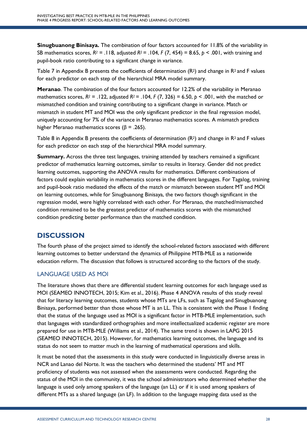**Sinugbuanong Binisaya.** The combination of four factors accounted for 11.8% of the variability in SB mathematics scores, *R2* = .118, adjusted *R2* = .104, *F* (7, 454) = 8.65, *p* < .001, with training and pupil-book ratio contributing to a significant change in variance.

Table 7 in Appendix B presents the coefficients of determination  $(R^2)$  and change in  $R^2$  and F values for each predictor on each step of the hierarchical MRA model summary.

**Meranao**. The combination of the four factors accounted for 12.2% of the variability in Meranao mathematics scores,  $R^2 = .122$ , adjusted  $R^2 = .104$ ,  $F(7, 326) = 6.50$ ,  $p < .001$ , with the matched or mismatched condition and training contributing to a significant change in variance. Match or mismatch in student MT and MOI was the only significant predictor in the final regression model, uniquely accounting for 7% of the variance in Meranao mathematics scores. A mismatch predicts higher Meranao mathematics scores ( $β = .265$ ).

Table 8 in Appendix B presents the coefficients of determination (R<sup>2</sup>) and change in R<sup>2</sup> and F values for each predictor on each step of the hierarchical MRA model summary.

**Summary.** Across the three test languages, training attended by teachers remained a significant predictor of mathematics learning outcomes, similar to results in literacy. Gender did not predict learning outcomes, supporting the ANOVA results for mathematics. Different combinations of factors could explain variability in mathematics scores in the different languages. For Tagalog, training and pupil-book ratio mediated the effects of the match or mismatch between student MT and MOI on learning outcomes, while for Sinugbuanong Binisaya, the two factors though significant in the regression model, were highly correlated with each other. For Meranao, the matched/mismatched condition remained to be the greatest predictor of mathematics scores with the mismatched condition predicting better performance than the matched condition.

# **DISCUSSION**

The fourth phase of the project aimed to identify the school-related factors associated with different learning outcomes to better understand the dynamics of Philippine MTB-MLE as a nationwide education reform. The discussion that follows is structured according to the factors of the study.

# LANGUAGE USED AS MOI

The literature shows that there are differential student learning outcomes for each language used as MOI (SEAMEO INNOTECH, 2015; Kim et al., 2016). Phase 4 ANOVA results of this study reveal that for literacy learning outcomes, students whose MTs are LFs, such as Tagalog and Sinugbuanong Binisaya, performed better than those whose MT is an LL. This is consistent with the Phase 1 finding that the status of the language used as MOI is a significant factor in MTB-MLE implementation, such that languages with standardized orthographies and more intellectualized academic register are more prepared for use in MTB-MLE (Williams et al., 2014). The same trend is shown in LAPG 2015 (SEAMEO INNOTECH, 2015). However, for mathematics learning outcomes, the language and its status do not seem to matter much in the learning of mathematical operations and skills.

It must be noted that the assessments in this study were conducted in linguistically diverse areas in NCR and Lanao del Norte. It was the teachers who determined the students' MT and MT proficiency of students was not assessed when the assessments were conducted. Regarding the status of the MOI in the community, it was the school administrators who determined whether the language is used only among speakers of the language (an LL) or if it is used among speakers of different MTs as a shared language (an LF). In addition to the language mapping data used as the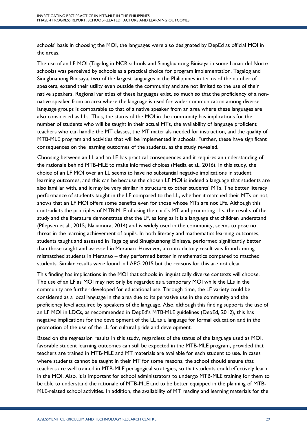schools' basis in choosing the MOI, the languages were also designated by DepEd as official MOI in the areas.

The use of an LF MOI (Tagalog in NCR schools and Sinugbuanong Binisaya in some Lanao del Norte schools) was perceived by schools as a practical choice for program implementation. Tagalog and Sinugbuanong Binisaya, two of the largest languages in the Philippines in terms of the number of speakers, extend their utility even outside the community and are not limited to the use of their native speakers. Regional varieties of these languages exist, so much so that the proficiency of a nonnative speaker from an area where the language is used for wider communication among diverse language groups is comparable to that of a native speaker from an area where these languages are also considered as LLs. Thus, the status of the MOI in the community has implications for the number of students who will be taught in their actual MTs, the availability of language proficient teachers who can handle the MT classes, the MT materials needed for instruction, and the quality of MTB-MLE program and activities that will be implemented in schools. Further, these have significant consequences on the learning outcomes of the students, as the study revealed.

Choosing between an LL and an LF has practical consequences and it requires an understanding of the rationale behind MTB-MLE to make informed choices (Metila et al., 2016). In this study, the choice of an LF MOI over an LL seems to have no substantial negative implications in student learning outcomes, and this can be because the chosen LF MOI is indeed a language that students are also familiar with, and it may be very similar in structure to other students' MTs. The better literacy performance of students taught in the LF compared to the LL, whether it matched their MTs or not, shows that an LF MOI offers some benefits even for those whose MTs are not LFs. Although this contradicts the principles of MTB-MLE of using the child's MT and promoting LLs, the results of the study and the literature demonstrate that the LF, as long as it is a language that children understand (Pflepsen et al., 2015; Nakamura, 2014) and is widely used in the community, seems to pose no threat in the learning achievement of pupils. In both literacy and mathematics learning outcomes, students taught and assessed in Tagalog and Sinugbuanong Binisaya, performed significantly better than those taught and assessed in Meranao. However, a contradictory result was found among mismatched students in Meranao – they performed better in mathematics compared to matched students. Similar results were found in LAPG 2015 but the reasons for this are not clear.

This finding has implications in the MOI that schools in linguistically diverse contexts will choose. The use of an LF as MOI may not only be regarded as a temporary MOI while the LLs in the community are further developed for educational use. Through time, the LF variety could be considered as a local language in the area due to its pervasive use in the community and the proficiency level acquired by speakers of the language. Also, although this finding supports the use of an LF MOI in LDCs, as recommended in DepEd's MTB-MLE guidelines (DepEd, 2012), this has negative implications for the development of the LL as a language for formal education and in the promotion of the use of the LL for cultural pride and development.

Based on the regression results in this study, regardless of the status of the language used as MOI, favorable student learning outcomes can still be expected in the MTB-MLE program, provided that teachers are trained in MTB-MLE and MT materials are available for each student to use. In cases where students cannot be taught in their MT for some reasons, the school should ensure that teachers are well trained in MTB-MLE pedagogical strategies, so that students could effectively learn in the MOI. Also, it is important for school administrators to undergo MTB-MLE training for them to be able to understand the rationale of MTB-MLE and to be better equipped in the planning of MTB-MLE-related school activities. In addition, the availability of MT reading and learning materials for the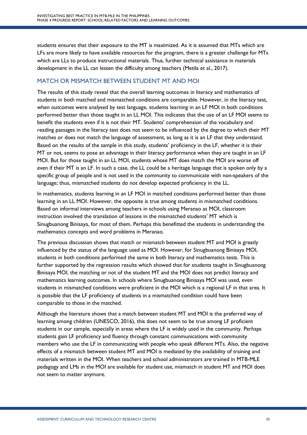students ensures that their exposure to the MT is maximized. As it is assumed that MTs which are LFs are more likely to have available resources for the program, there is a greater challenge for MTs which are LLs to produce instructional materials. Thus, further technical assistance in materials development in the LL can lessen the difficulty among teachers (Metila et al., 2017).

# MATCH OR MISMATCH BETWEEN STUDENT MT AND MOI

The results of this study reveal that the overall learning outcomes in literacy and mathematics of students in both matched and mismatched conditions are comparable. However, in the literacy test, when outcomes were analysed by test language, students learning in an LF MOI in both conditions performed better than those taught in an LL MOI. This indicates that the use of an LF MOI seems to benefit the students even if it is not their MT. Students' comprehension of the vocabulary and reading passages in the literacy test does not seem to be influenced by the degree to which their MT matches or does not match the language of assessment, as long as it is an LF that they understand. Based on the results of the sample in this study, students' proficiency in the LF, whether it is their MT or not, seems to pose an advantage in their literacy performance when they are taught in an LF MOI. But for those taught in an LL MOI, students whose MT does match the MOI are worse off even if their MT is an LF. In such a case, the LL could be a heritage language that is spoken only by a specific group of people and is not used in the community to communicate with non-speakers of the language; thus, mismatched students do not develop expected proficiency in the LL.

In mathematics, students learning in an LF MOI in matched conditions performed better than those learning in an LL MOI. However, the opposite is true among students in mismatched conditions. Based on informal interviews among teachers in schools using Meranao as MOI, classroom instruction involved the translation of lessons in the mismatched students' MT which is Sinugbuanong Binisaya, for most of them. Perhaps this benefitted the students in understanding the mathematics concepts and word problems in Meranao.

The previous discussion shows that match or mismatch between student MT and MOI is greatly influenced by the status of the language used as MOI. However, for Sinugbuanong Binisaya MOI, students in both conditions performed the same in both literacy and mathematics tests. This is further supported by the regression results which showed that for students taught in Sinugbuanong Binisaya MOI, the matching or not of the student MT and the MOI does not predict literacy and mathematics learning outcomes. In schools where Sinugbuanong Binisaya MOI was used, even students in mismatched conditions were proficient in the MOI which is a regional LF in that area. It is possible that the LF proficiency of students in a mismatched condition could have been comparable to those in the matched.

Although the literature shows that a match between student MT and MOI is the preferred way of learning among children (UNESCO, 2016), this does not seem to be true among LF proficient students in our sample, especially in areas where the LF is widely used in the community. Perhaps students gain LF proficiency and fluency through constant communications with community members who use the LF in communicating with people who speak different MTs. Also, the negative effects of a mismatch between student MT and MOI is mediated by the availability of training and materials written in the MOI. When teachers and school administrators are trained in MTB-MLE pedagogy and LMs in the MOI are available for student use, mismatch in student MT and MOI does not seem to matter anymore.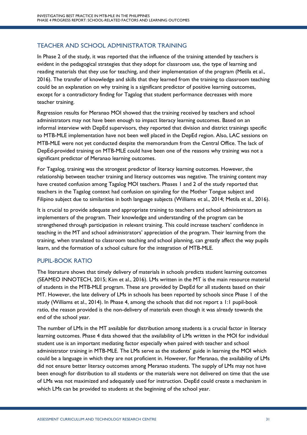# TEACHER AND SCHOOL ADMINISTRATOR TRAINING

In Phase 2 of the study, it was reported that the influence of the training attended by teachers is evident in the pedagogical strategies that they adopt for classroom use, the type of learning and reading materials that they use for teaching, and their implementation of the program (Metila et al., 2016). The transfer of knowledge and skills that they learned from the training to classroom teaching could be an explanation on why training is a significant predictor of positive learning outcomes, except for a contradictory finding for Tagalog that student performance decreases with more teacher training.

Regression results for Meranao MOI showed that the training received by teachers and school administrators may not have been enough to impact literacy learning outcomes. Based on an informal interview with DepEd supervisors, they reported that division and district trainings specific to MTB-MLE implementation have not been well placed in the DepEd region. Also, LAC sessions on MTB-MLE were not yet conducted despite the memorandum from the Central Office. The lack of DepEd-provided training on MTB-MLE could have been one of the reasons why training was not a significant predictor of Meranao learning outcomes.

For Tagalog, training was the strongest predictor of literacy learning outcomes. However, the relationship between teacher training and literacy outcomes was negative. The training content may have created confusion among Tagalog MOI teachers. Phases 1 and 2 of the study reported that teachers in the Tagalog context had confusion on spiraling for the Mother Tongue subject and Filipino subject due to similarities in both language subjects (Williams et al., 2014; Metila et al., 2016).

It is crucial to provide adequate and appropriate training to teachers and school administrators as implementers of the program. Their knowledge and understanding of the program can be strengthened through participation in relevant training. This could increase teachers' confidence in teaching in the MT and school administrators' appreciation of the program. Their learning from the training, when translated to classroom teaching and school planning, can greatly affect the way pupils learn, and the formation of a school culture for the integration of MTB-MLE.

# PUPIL-BOOK RATIO

The literature shows that timely delivery of materials in schools predicts student learning outcomes (SEAMEO INNOTECH, 2015; Kim et al., 2016). LMs written in the MT is the main resource material of students in the MTB-MLE program. These are provided by DepEd for all students based on their MT. However, the late delivery of LMs in schools has been reported by schools since Phase 1 of the study (Williams et al., 2014). In Phase 4, among the schools that did not report a 1:1 pupil-book ratio, the reason provided is the non-delivery of materials even though it was already towards the end of the school year.

The number of LMs in the MT available for distribution among students is a crucial factor in literacy learning outcomes. Phase 4 data showed that the availability of LMs written in the MOI for individual student use is an important mediating factor especially when paired with teacher and school administrator training in MTB-MLE. The LMs serve as the students' guide in learning the MOI which could be a language in which they are not proficient in. However, for Meranao, the availability of LMs did not ensure better literacy outcomes among Meranao students. The supply of LMs may not have been enough for distribution to all students or the materials were not delivered on time that the use of LMs was not maximized and adequately used for instruction. DepEd could create a mechanism in which LMs can be provided to students at the beginning of the school year.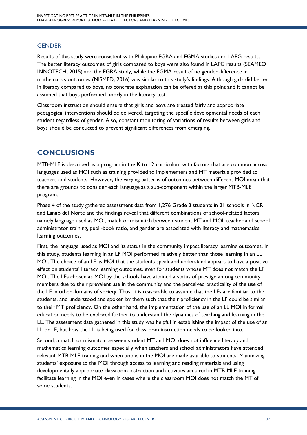# **GENDER**

Results of this study were consistent with Philippine EGRA and EGMA studies and LAPG results. The better literacy outcomes of girls compared to boys were also found in LAPG results (SEAMEO INNOTECH, 2015) and the EGRA study, while the EGMA result of no gender difference in mathematics outcomes (NISMED, 2016) was similar to this study's findings. Although girls did better in literacy compared to boys, no concrete explanation can be offered at this point and it cannot be assumed that boys performed poorly in the literacy test.

Classroom instruction should ensure that girls and boys are treated fairly and appropriate pedagogical interventions should be delivered, targeting the specific developmental needs of each student regardless of gender. Also, constant monitoring of variations of results between girls and boys should be conducted to prevent significant differences from emerging.

# **CONCLUSIONS**

MTB-MLE is described as a program in the K to 12 curriculum with factors that are common across languages used as MOI such as training provided to implementers and MT materials provided to teachers and students. However, the varying patterns of outcomes between different MOI mean that there are grounds to consider each language as a sub-component within the larger MTB-MLE program.

Phase 4 of the study gathered assessment data from 1,276 Grade 3 students in 21 schools in NCR and Lanao del Norte and the findings reveal that different combinations of school-related factors namely language used as MOI, match or mismatch between student MT and MOI, teacher and school administrator training, pupil-book ratio, and gender are associated with literacy and mathematics learning outcomes.

First, the language used as MOI and its status in the community impact literacy learning outcomes. In this study, students learning in an LF MOI performed relatively better than those learning in an LL MOI. The choice of an LF as MOI that the students speak and understand appears to have a positive effect on students' literacy learning outcomes, even for students whose MT does not match the LF MOI. The LFs chosen as MOI by the schools have attained a status of prestige among community members due to their prevalent use in the community and the perceived practicality of the use of the LF in other domains of society. Thus, it is reasonable to assume that the LFs are familiar to the students, and understood and spoken by them such that their proficiency in the LF could be similar to their MT proficiency. On the other hand, the implementation of the use of an LL MOI in formal education needs to be explored further to understand the dynamics of teaching and learning in the LL. The assessment data gathered in this study was helpful in establishing the impact of the use of an LL or LF, but how the LL is being used for classroom instruction needs to be looked into.

Second, a match or mismatch between student MT and MOI does not influence literacy and mathematics learning outcomes especially when teachers and school administrators have attended relevant MTB-MLE training and when books in the MOI are made available to students. Maximizing students' exposure to the MOI through access to learning and reading materials and using developmentally appropriate classroom instruction and activities acquired in MTB-MLE training facilitate learning in the MOI even in cases where the classroom MOI does not match the MT of some students.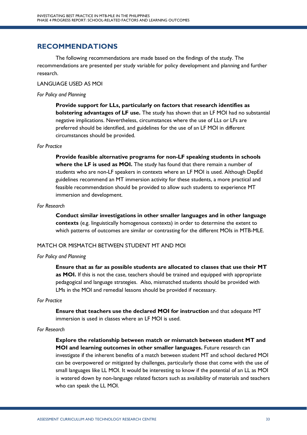# **RECOMMENDATIONS**

The following recommendations are made based on the findings of the study. The recommendations are presented per study variable for policy development and planning and further research.

#### LANGUAGE USED AS MOI

#### *For Policy and Planning*

**Provide support for LLs, particularly on factors that research identifies as bolstering advantages of LF use.** The study has shown that an LF MOI had no substantial negative implications. Nevertheless, circumstances where the use of LLs or LFs are preferred should be identified, and guidelines for the use of an LF MOI in different circumstances should be provided.

# *For Practice*

**Provide feasible alternative programs for non-LF speaking students in schools where the LF is used as MOI.** The study has found that there remain a number of students who are non-LF speakers in contexts where an LF MOI is used. Although DepEd guidelines recommend an MT immersion activity for these students, a more practical and feasible recommendation should be provided to allow such students to experience MT immersion and development.

# *For Research*

**Conduct similar investigations in other smaller languages and in other language contexts** (e.g. linguistically homogenous contexts) in order to determine the extent to which patterns of outcomes are similar or contrasting for the different MOIs in MTB-MLE.

# MATCH OR MISMATCH BETWEEN STUDENT MT AND MOI

# *For Policy and Planning*

**Ensure that as far as possible students are allocated to classes that use their MT as MOI.** If this is not the case, teachers should be trained and equipped with appropriate pedagogical and language strategies. Also, mismatched students should be provided with LMs in the MOI and remedial lessons should be provided if necessary.

#### *For Practice*

**Ensure that teachers use the declared MOI for instruction** and that adequate MT immersion is used in classes where an LF MOI is used.

# *For Research*

**Explore the relationship between match or mismatch between student MT and MOI and learning outcomes in other smaller languages.** Future research can investigate if the inherent benefits of a match between student MT and school declared MOI can be overpowered or mitigated by challenges, particularly those that come with the use of small languages like LL MOI. It would be interesting to know if the potential of an LL as MOI is watered down by non-language related factors such as availability of materials and teachers who can speak the LL MOI.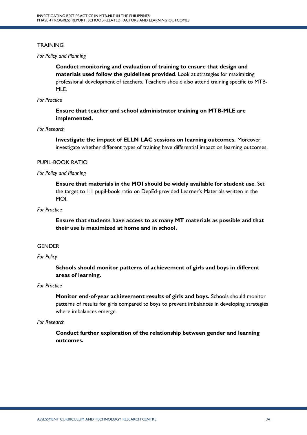# **TRAINING**

#### *For Policy and Planning*

**Conduct monitoring and evaluation of training to ensure that design and materials used follow the guidelines provided**. Look at strategies for maximizing professional development of teachers. Teachers should also attend training specific to MTB-MLE.

# *For Practice*

**Ensure that teacher and school administrator training on MTB-MLE are implemented.** 

#### *For Research*

**Investigate the impact of ELLN LAC sessions on learning outcomes.** Moreover, investigate whether different types of training have differential impact on learning outcomes.

# PUPIL-BOOK RATIO

# *For Policy and Planning*

**Ensure that materials in the MOI should be widely available for student use**. Set the target to 1:1 pupil-book ratio on DepEd-provided Learner's Materials written in the MOI.

# *For Practice*

**Ensure that students have access to as many MT materials as possible and that their use is maximized at home and in school.**

#### **GENDER**

#### *For Policy*

**Schools should monitor patterns of achievement of girls and boys in different areas of learning.**

# *For Practice*

**Monitor end-of-year achievement results of girls and boys.** Schools should monitor patterns of results for girls compared to boys to prevent imbalances in developing strategies where imbalances emerge.

#### *For Research*

**Conduct further exploration of the relationship between gender and learning outcomes.**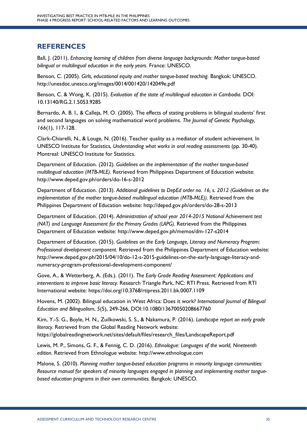# **REFERENCES**

Ball, J. (2011). *Enhancing learning of children from diverse language backgrounds: Mother tongue-based bilingual or multilingual education in the early years*. France: UNESCO.

Benson, C. (2005). *Girls, educational equity and mother tongue-based teaching.* Bangkok: UNESCO. http://unesdoc.unesco.org/images/0014/001420/142049e.pdf

Benson, C. & Wong, K. (2015). *Evaluation of the state of multilingual education in Cambodia.* DOI: 10.13140/RG.2.1.5053.9285

Bernardo, A. B. I., & Calleja, M. O. (2005). The effects of stating problems in bilingual students' first and second languages on solving mathematical word problems. *The Journal of Genetic Psychology, 166*(1), 117-128.

Clark-Chiarelli, N., & Louge, N. (2016). Teacher quality as a mediator of student achievement*.* In UNESCO Institute for Statistics*, Understanding what works in oral reading assessments* (pp. 30-40). Montreal: UNESCO Institute for Statistics.

Department of Education. (2012)*. Guidelines on the implementation of the mother tongue-based multilingual education (MTB-MLE)*. Retrieved from Philippines Department of Education website: http://www.deped.gov.ph/orders/do-16-s-2012

Department of Education. (2013). *Additional guidelines to DepEd order no. 16, s. 2012 (Guidelines on the implementation of the mother tongue-based multilingual education (MTB-MLE)).* Retrieved from the Philippines Department of Education website: http://deped.gov.ph/orders/do-28-s-2013

Department of Education. (2014). *Administration of school year 2014-2015 National Achievement test (NAT) and Language Assessment for the Primary Grades (LAPG).* Retrieved from the Philippines Department of Education website: http://www.deped.gov.ph/memos/dm-127-s2014

Department of Education. (2015). *Guidelines on the Early Language, Literacy and Numeracy Program: Professional development component*. Retrieved from the Philippines Department of Education website: http://www.deped.gov.ph/2015/04/10/do-12-s-2015-guidelines-on-the-early-language-literacy-andnumeracy-program-professional-development-component/

Gove, A., & Wetterberg, A. (Eds.). (2011). *The Early Grade Reading Assessment: Applications and interventions to improve basic literacy.* Research Triangle Park, NC: RTI Press. Retrieved from RTI International website: https://doi.org/10.3768/rtipress.2011.bk.0007.1109

Hovens, M. (2002). Bilingual education in West Africa: Does it work? *International Journal of Bilingual Education and Bilingualism*, *5*(5), 249-266, DOI:10.1080/13670050208667760

Kim, Y.-S. G., Boyle, H. N., Zuilkowski, S. S., & Nakamura, P. (2016). *Landscape report on early grade literacy.* Retrieved from the Global Reading Network website: https://globalreadingnetwork.net/sites/default/files/research\_files/LandscapeReport.pdf

Lewis, M. P., Simons, G. F., & Fennig, C. D. (2016). *Ethnologue: Languages of the world, Nineteenth edition*. Retrieved from Ethnologue website: http://www.ethnologue.com

Malone, S. (2010). *Planning mother tongue-based education programs in minority language communities: Resource manual for speakers of minority languages engaged in planning and implementing mother tonguebased education programs in their own communities.* Bangkok: UNESCO.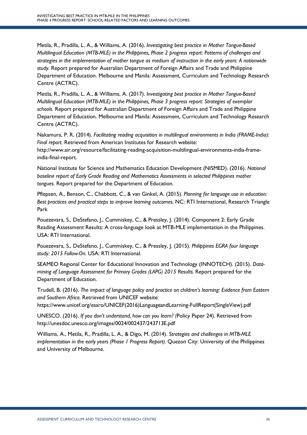Metila, R., Pradilla, L. A., & Williams, A. (2016). *Investigating best practice in Mother Tongue-Based Multilingual Education (MTB-MLE) in the Philippines, Phase 2 progress report: Patterns of challenges and strategies in the implementation of mother tongue as medium of instruction in the early years: A nationwide study*. Report prepared for Australian Department of Foreign Affairs and Trade and Philippine Department of Education. Melbourne and Manila: Assessment, Curriculum and Technology Research Centre (ACTRC).

Metila, R., Pradilla, L. A., & Williams, A. (2017). *Investigating best practice in Mother Tongue-Based Multilingual Education (MTB-MLE) in the Philippines, Phase 3 progress report: Strategies of exemplar schools.* Report prepared for Australian Department of Foreign Affairs and Trade and Philippine Department of Education. Melbourne and Manila: Assessment, Curriculum and Technology Research Centre (ACTRC).

Nakamura, P. R. (2014). *Facilitating reading acquisition in multilingual environments in India (FRAME-India): Final report.* Retrieved from American Institutes for Research website: http://www.air.org/resource/facilitating-reading-acquisition-multilingual-environments-india-frameindia-final-report.

National Institute for Science and Mathematics Education Development (NISMED). (2016). *National baseline report of Early Grade Reading and Mathematics Assessments in selected Philippines mother tongues.* Report prepared for the Department of Education.

Pflepsen, A., Benson, C., Chabbott, C., & van Ginkel, A. (2015). *Planning for language use in education: Best practices and practical steps to improve learning outcomes.* NC: RTI International, Research Triangle Park

Pouezevara, S., DeStefano, J., Cummiskey, C., & Pressley, J. (2014). Component 2: Early Grade Reading Assessment Results: A cross-language look at MTB-MLE implementation in the Philippines. USA: RTI International.

Pouezevara, S., DeStefano, J., Cummiskey, C., & Pressley, J. (2015). *Philippines EGRA four language study: 2015 Follow-On.* USA: RTI International.

SEAMEO Regional Center for Educational Innovation and Technology (INNOTECH). (2015). *Datamining of Language Assessment for Primary Grades (LAPG) 2015 Results.* Report prepared for the Department of Education.

Trudell, B. (2016). *The impact of language policy and practice on children's learning: Evidence from Eastern and Southern Africa.* Retrieved from UNICEF website:

https://www.unicef.org/esaro/UNICEF(2016)LanguageandLearning-FullReport(SingleView).pdf

UNESCO. (2016). *If you don't understand, how can you learn? (*Policy Paper 24)*.* Retrieved from http://unesdoc.unesco.org/images/0024/002437/243713E.pdf

Williams, A., Metila, R., Pradilla, L. A., & Digo, M. (2014). *Strategies and challenges in MTB-MLE implementation in the early years (Phase 1 Progress Report).* Quezon City: University of the Philippines and University of Melbourne.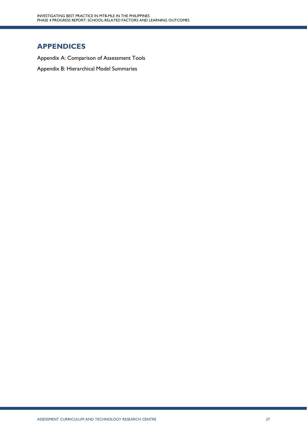# **APPENDICES**

Appendix A: Comparison of Assessment Tools Appendix B: Hierarchical Model Summaries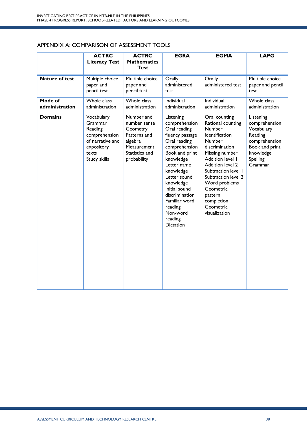# APPENDIX A: COMPARISON OF ASSESSMENT TOOLS

|                           | <b>ACTRC</b><br><b>Literacy Test</b>                                                                         | <b>ACTRC</b><br><b>Mathematics</b><br><b>Test</b>                                                                 | <b>EGRA</b>                                                                                                                                                                                                                                                                                      | <b>EGMA</b>                                                                                                                                                                                                                                                                                    | <b>LAPG</b>                                                                                                                |
|---------------------------|--------------------------------------------------------------------------------------------------------------|-------------------------------------------------------------------------------------------------------------------|--------------------------------------------------------------------------------------------------------------------------------------------------------------------------------------------------------------------------------------------------------------------------------------------------|------------------------------------------------------------------------------------------------------------------------------------------------------------------------------------------------------------------------------------------------------------------------------------------------|----------------------------------------------------------------------------------------------------------------------------|
| <b>Nature of test</b>     | Multiple choice<br>paper and<br>pencil test                                                                  | Multiple choice<br>paper and<br>pencil test                                                                       | Orally<br>administered<br>test                                                                                                                                                                                                                                                                   | Orally<br>administered test                                                                                                                                                                                                                                                                    | Multiple choice<br>paper and pencil<br>test                                                                                |
| Mode of<br>administration | Whole class<br>administration                                                                                | Whole class<br>administration                                                                                     | Individual<br>administration                                                                                                                                                                                                                                                                     | Individual<br>administration                                                                                                                                                                                                                                                                   | Whole class<br>administration                                                                                              |
| <b>Domains</b>            | Vocabulary<br>Grammar<br>Reading<br>comprehension<br>of narrative and<br>expository<br>texts<br>Study skills | Number and<br>number sense<br>Geometry<br>Patterns and<br>algebra<br>Measurement<br>Statistics and<br>probability | Listening<br>comprehension<br>Oral reading<br>fluency passage<br>Oral reading<br>comprehension<br>Book and print<br>knowledge<br>Letter name<br>knowledge<br>Letter sound<br>knowledge<br>Initial sound<br>discrimination<br>Familiar word<br>reading<br>Non-word<br>reading<br><b>Dictation</b> | Oral counting<br>Rational counting<br><b>Number</b><br>identification<br>Number<br>discrimination<br>Missing number<br>Addition level I<br>Addition level 2<br>Subtraction level 1<br>Subtraction level 2<br>Word problems<br>Geometric<br>pattern<br>completion<br>Geometric<br>visualization | Listening<br>comprehension<br>Vocabulary<br>Reading<br>comprehension<br>Book and print<br>knowledge<br>Spelling<br>Grammar |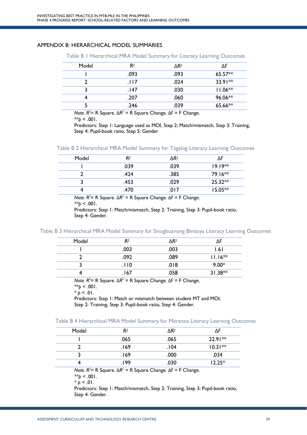#### APPENDIX B: HIERARCHICAL MODEL SUMMARIES

Table B 1 Hierarchical MRA Model Summary for Literacy Learning Outcomes

| Model | R <sup>2</sup> | $\triangle R^2$ | ٨F        |
|-------|----------------|-----------------|-----------|
|       | .093           | .093            | $65.57**$ |
|       | .। । 7         | .024            | $33.91**$ |
|       | .147           | .030            | $11.06**$ |
|       | .207           | .060            | 96.06**   |
|       | .246           | .039            | 65.66**   |

 *Note. R2* = R Square. Δ*R2 =* R Square Change. Δ*F* = F Change.

 $*$ *p* < .001.

 Predictors: Step 1: Language used as MOI, Step 2: Match/mismatch, Step 3: Training, Step 4: Pupil-book ratio, Step 5: Gender

| Table B 2 Hierarchical MRA Model Summary for Tagalog Literacy Learning Outcomes |  |  |
|---------------------------------------------------------------------------------|--|--|
|---------------------------------------------------------------------------------|--|--|

| Model | R <sup>2</sup> | $\triangle R^2$ | ٨F        |
|-------|----------------|-----------------|-----------|
|       | .039           | .039            | $19.19**$ |
|       | .424           | .385            | $79.16**$ |
|       | .453           | .029            | $25.32**$ |
|       | .470           | .017            | $15.05**$ |

 *Note. R2* = R Square. Δ*R2 =* R Square Change. Δ*F* = F Change.  $*$ *p* < .001.

> Predictors: Step 1: Match/mismatch, Step 2: Training, Step 3: Pupil-book ratio, Step 4: Gender.

Table B 3 Hierarchical MRA Model Summary for Sinugbuanong Binisaya Literacy Learning Outcomes

| Model | R <sup>2</sup> | $\triangle R^2$ | ٨F        |
|-------|----------------|-----------------|-----------|
|       | .003           | .003            | ا 6. ا    |
|       | .092           | .089            | $11.16**$ |
|       | .110           | .018            | $9.00*$   |
|       | .167           | .058            | $31.38**$ |

 *Note. R2* = R Square. Δ*R2 =* R Square Change. Δ*F* = F Change.  $*$ *p* < .001.

 $* p < 01$ .

Predictors: Step 1: Match or mismatch between student MT and MOI, Step 2: Training, Step 3: Pupil-book ratio, Step 4: Gender.

|  |  | Table B 4 Hierarchical MRA Model Summary for Meranao Literacy Learning Outcomes |  |  |  |  |  |  |  |  |
|--|--|---------------------------------------------------------------------------------|--|--|--|--|--|--|--|--|
|--|--|---------------------------------------------------------------------------------|--|--|--|--|--|--|--|--|

| Model | R <sup>2</sup> | $\Delta R^2$ | ΛF        |
|-------|----------------|--------------|-----------|
|       | .065           | .065         | $22.91**$ |
|       | .169           | .104         | $10.31**$ |
|       | 169.           | .000         | .034      |
|       | 199.           | .030         | $12.25*$  |

 *Note. R2* = R Square. Δ*R2 =* R Square Change. Δ*F* = F Change.

 $*$ *b* < .001.

 $* p < 01$ .

 Predictors: Step 1: Match/mismatch, Step 2: Training, Step 3: Pupil-book ratio, Step 4: Gender.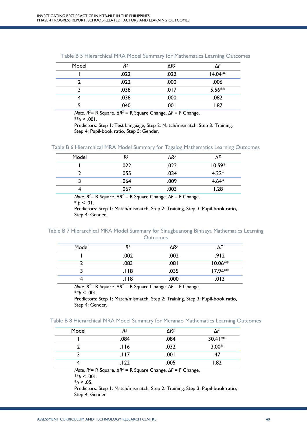| Model | R2   | $\Delta R^2$ | ۸F        |
|-------|------|--------------|-----------|
|       | .022 | .022         | $14.04**$ |
|       | .022 | .000         | .006      |
|       | .038 | .017         | $5.56**$  |
|       | .038 | .000         | .082      |
|       | .040 | .001         | .87       |

Table B 5 Hierarchical MRA Model Summary for Mathematics Learning Outcomes

 *Note. R2* = R Square. Δ*R2 =* R Square Change. Δ*F* = F Change.  $*$ *p* < .001.

> Predictors: Step 1: Test Language, Step 2: Match/mismatch, Step 3: Training, Step 4: Pupil-book ratio, Step 5: Gender.

| Table B 6 Hierarchical MRA Model Summary for Tagalog Mathematics Learning Outcomes |  |  |  |  |  |  |  |  |  |
|------------------------------------------------------------------------------------|--|--|--|--|--|--|--|--|--|
|------------------------------------------------------------------------------------|--|--|--|--|--|--|--|--|--|

| Model | R <sup>2</sup> | $\Delta$ R <sup>2</sup> | ٨F       |
|-------|----------------|-------------------------|----------|
|       | .022           | .022                    | $10.59*$ |
|       | .055           | .034                    | $4.22*$  |
|       | .064           | .009                    | $4.64*$  |
|       | .067           | .003                    | 1.28     |

 *Note. R2* = R Square. Δ*R2 =* R Square Change. Δ*F* = F Change.

 $*$  *p* < .01.

 Predictors: Step 1: Match/mismatch, Step 2: Training, Step 3: Pupil-book ratio, Step 4: Gender.

#### Table B 7 Hierarchical MRA Model Summary for Sinugbuanong Binisaya Mathematics Learning **Outcomes**

| Model | R2   | $\triangle R^2$ | ۸F        |
|-------|------|-----------------|-----------|
|       | .002 | .002            | 912.      |
|       | .083 | .081            | $10.06**$ |
|       | .।।8 | .035            | $17.94**$ |
|       | -18  | .000            | 013       |

 *Note. R2* = R Square. Δ*R2 =* R Square Change. Δ*F* = F Change.

 $*$ *p* < .001.

 Predictors: Step 1: Match/mismatch, Step 2: Training, Step 3: Pupil-book ratio, Step 4: Gender.

| Table B 8 Hierarchical MRA Model Summary for Meranao Mathematics Learning Outcomes |  |  |  |  |
|------------------------------------------------------------------------------------|--|--|--|--|
|------------------------------------------------------------------------------------|--|--|--|--|

| Model | R2     | $\Delta R^2$ |           |
|-------|--------|--------------|-----------|
|       | .084   | .084         | $30.41**$ |
|       | .116   | .032         | $3.00*$   |
|       | .। । 7 | .001         | .47       |
|       | 22     | .005         | .82       |

 *Note. R2* = R Square. Δ*R2 =* R Square Change. Δ*F* = F Change.  $**_D < .001$ .

 $*_{p}$  < .05.

 Predictors: Step 1: Match/mismatch, Step 2: Training, Step 3: Pupil-book ratio, Step 4: Gender